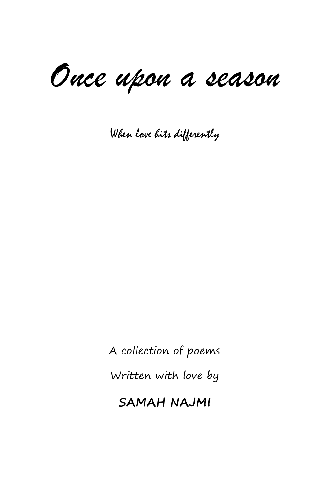*Once upon a season*

When love hits differently

A collection of poems Written with love by **SAMAH NAJMI**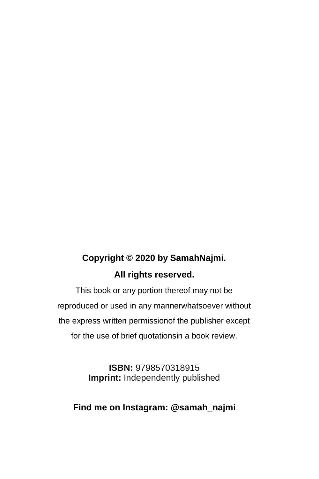# **Copyright © 2020 by SamahNajmi. All rights reserved.**

This book or any portion thereof may not be reproduced or used in any mannerwhatsoever without the express written permissionof the publisher except for the use of brief quotationsin a book review.

> **ISBN:** 9798570318915 **Imprint:** Independently published

**Find me on Instagram: @samah\_najmi**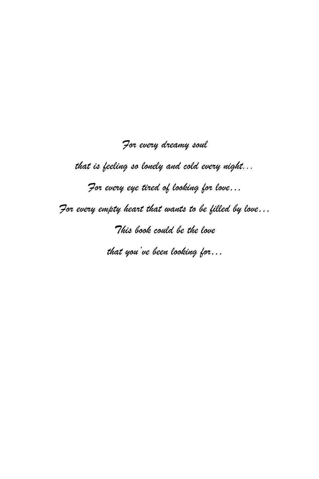*For every dreamy soul* 

*that is feeling so lonely and cold every night... For every eye tired of looking for love… For every empty heart that wants to be filled by love… This book could be the love that you've been looking for…*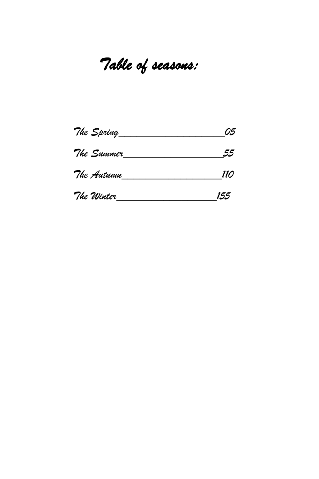*Table of seasons:* 

| The Spring | 05  |
|------------|-----|
| The Summer | 55  |
| The Autumn | 110 |
| The Winter | 155 |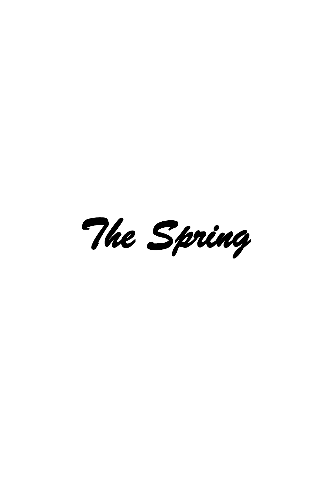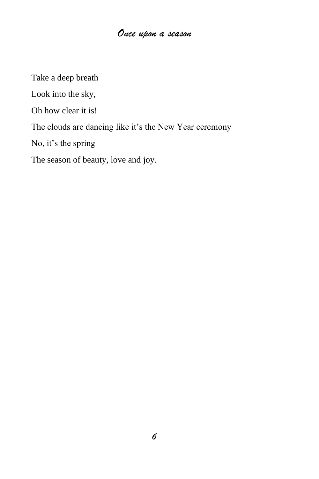Take a deep breath

Look into the sky,

Oh how clear it is!

The clouds are dancing like it's the New Year ceremony

No, it's the spring

The season of beauty, love and joy.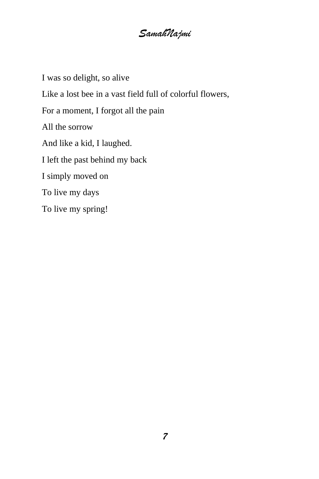*SamahNajmi*

I was so delight, so alive Like a lost bee in a vast field full of colorful flowers, For a moment, I forgot all the pain All the sorrow And like a kid, I laughed. I left the past behind my back I simply moved on To live my days To live my spring!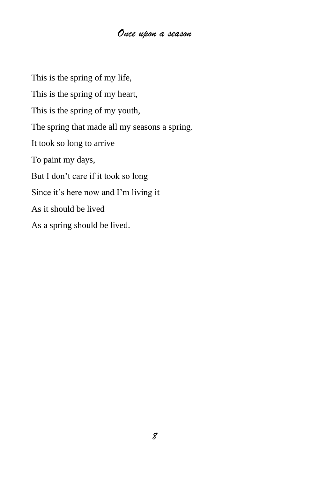This is the spring of my life, This is the spring of my heart, This is the spring of my youth, The spring that made all my seasons a spring. It took so long to arrive To paint my days, But I don't care if it took so long Since it's here now and I'm living it As it should be lived As a spring should be lived.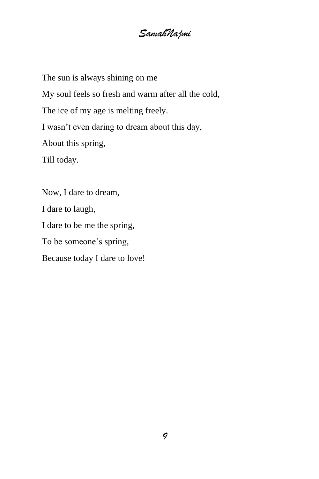*SamahNajmi*

The sun is always shining on me My soul feels so fresh and warm after all the cold, The ice of my age is melting freely. I wasn't even daring to dream about this day, About this spring, Till today.

Now, I dare to dream, I dare to laugh, I dare to be me the spring, To be someone's spring, Because today I dare to love!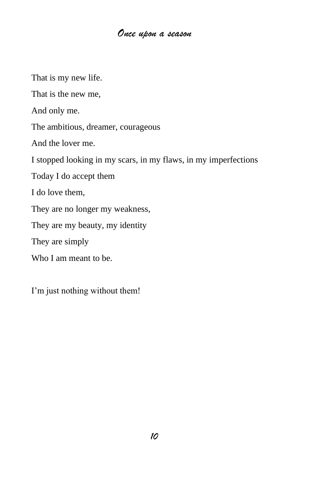That is my new life. That is the new me, And only me. The ambitious, dreamer, courageous And the lover me. I stopped looking in my scars, in my flaws, in my imperfections Today I do accept them I do love them, They are no longer my weakness, They are my beauty, my identity They are simply Who I am meant to be.

I'm just nothing without them!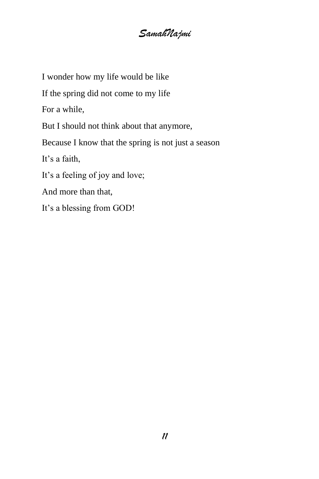I wonder how my life would be like If the spring did not come to my life For a while, But I should not think about that anymore, Because I know that the spring is not just a season It's a faith, It's a feeling of joy and love; And more than that, It's a blessing from GOD!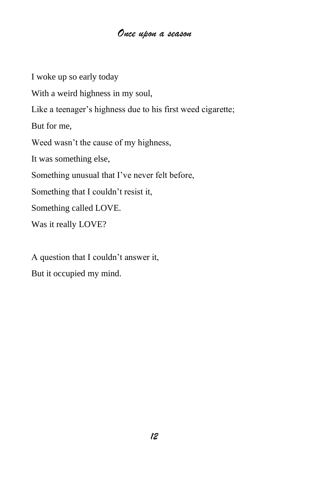I woke up so early today With a weird highness in my soul, Like a teenager's highness due to his first weed cigarette; But for me, Weed wasn't the cause of my highness, It was something else, Something unusual that I've never felt before, Something that I couldn't resist it, Something called LOVE. Was it really LOVE?

A question that I couldn't answer it, But it occupied my mind.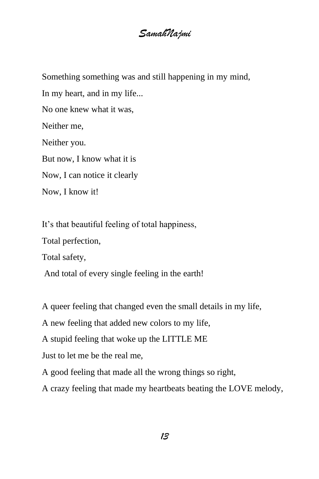Something something was and still happening in my mind,

In my heart, and in my life...

No one knew what it was,

Neither me,

Neither you.

But now, I know what it is

Now, I can notice it clearly

Now, I know it!

It's that beautiful feeling of total happiness, Total perfection, Total safety, And total of every single feeling in the earth!

A queer feeling that changed even the small details in my life,

A new feeling that added new colors to my life,

A stupid feeling that woke up the LITTLE ME

Just to let me be the real me,

A good feeling that made all the wrong things so right,

A crazy feeling that made my heartbeats beating the LOVE melody,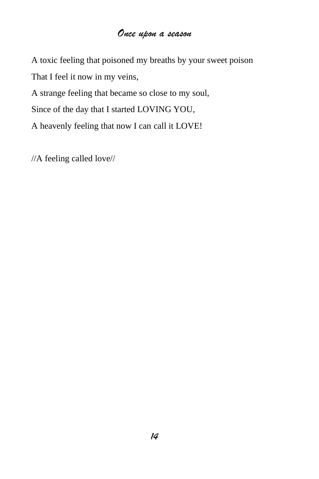A toxic feeling that poisoned my breaths by your sweet poison That I feel it now in my veins,

A strange feeling that became so close to my soul,

Since of the day that I started LOVING YOU,

A heavenly feeling that now I can call it LOVE!

//A feeling called love//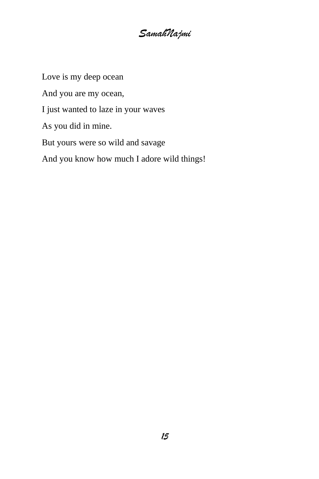*SamahNajmi*

Love is my deep ocean And you are my ocean, I just wanted to laze in your waves As you did in mine. But yours were so wild and savage And you know how much I adore wild things!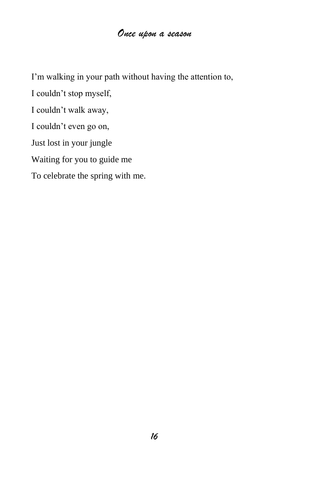I'm walking in your path without having the attention to,

I couldn't stop myself,

I couldn't walk away,

I couldn't even go on,

Just lost in your jungle

Waiting for you to guide me

To celebrate the spring with me.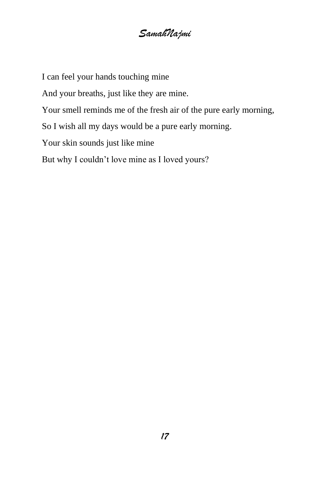*SamahNajmi*

I can feel your hands touching mine

And your breaths, just like they are mine.

Your smell reminds me of the fresh air of the pure early morning,

So I wish all my days would be a pure early morning.

Your skin sounds just like mine

But why I couldn't love mine as I loved yours?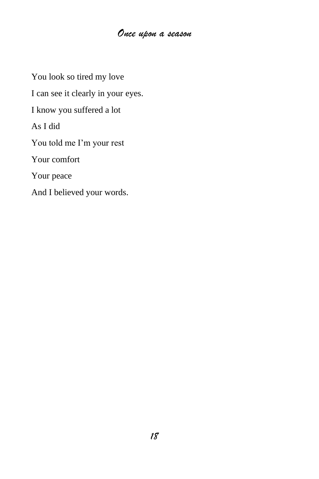You look so tired my love I can see it clearly in your eyes. I know you suffered a lot As I did You told me I'm your rest Your comfort Your peace And I believed your words.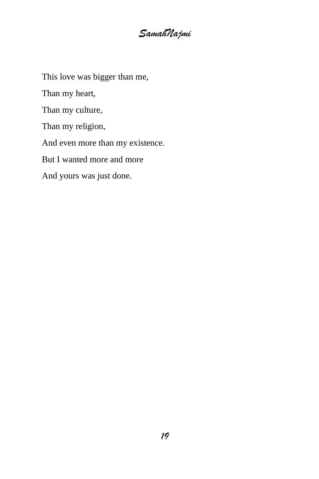This love was bigger than me,

Than my heart,

Than my culture,

Than my religion,

And even more than my existence.

But I wanted more and more

And yours was just done.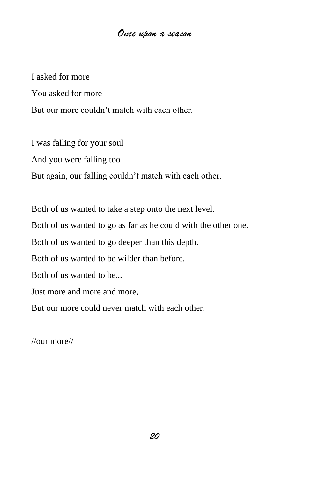I asked for more You asked for more But our more couldn't match with each other.

I was falling for your soul And you were falling too But again, our falling couldn't match with each other.

Both of us wanted to take a step onto the next level. Both of us wanted to go as far as he could with the other one. Both of us wanted to go deeper than this depth. Both of us wanted to be wilder than before. Both of us wanted to be... Just more and more, But our more could never match with each other.

//our more//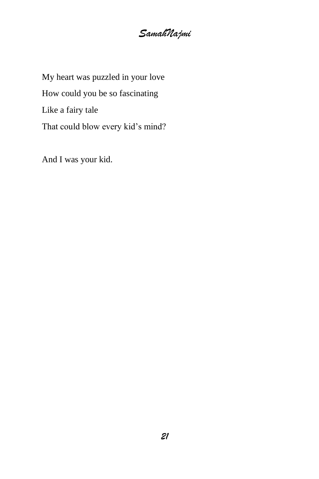*SamahNajmi*

My heart was puzzled in your love How could you be so fascinating Like a fairy tale That could blow every kid's mind?

And I was your kid.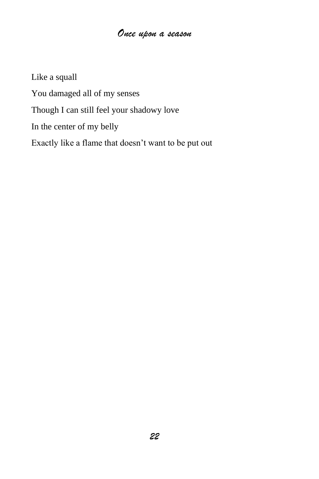Like a squall You damaged all of my senses Though I can still feel your shadowy love In the center of my belly Exactly like a flame that doesn't want to be put out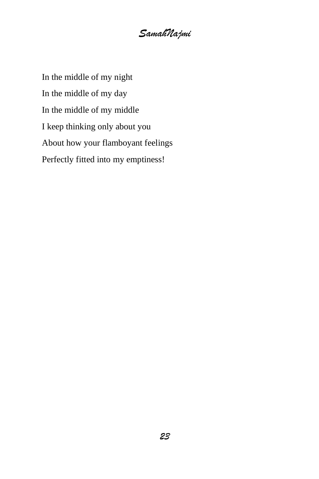In the middle of my night In the middle of my day In the middle of my middle I keep thinking only about you About how your flamboyant feelings Perfectly fitted into my emptiness!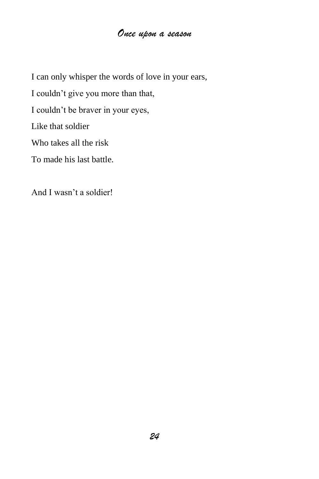I can only whisper the words of love in your ears,

I couldn't give you more than that,

I couldn't be braver in your eyes,

Like that soldier

Who takes all the risk

To made his last battle.

And I wasn't a soldier!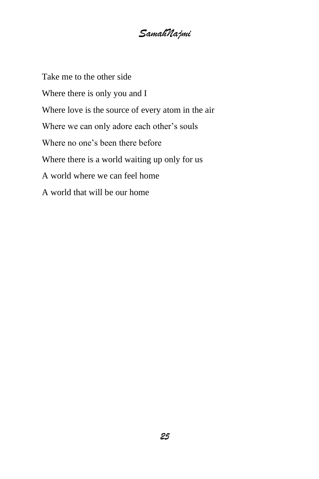Take me to the other side Where there is only you and I Where love is the source of every atom in the air Where we can only adore each other's souls Where no one's been there before Where there is a world waiting up only for us A world where we can feel home A world that will be our home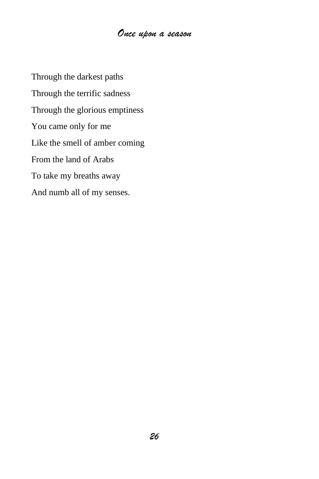Through the darkest paths Through the terrific sadness Through the glorious emptiness You came only for me Like the smell of amber coming From the land of Arabs To take my breaths away And numb all of my senses.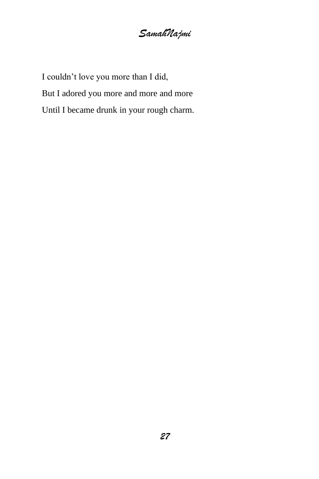*SamahNajmi*

I couldn't love you more than I did, But I adored you more and more and more Until I became drunk in your rough charm.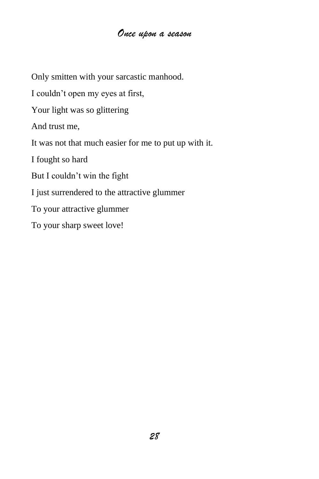Only smitten with your sarcastic manhood. I couldn't open my eyes at first, Your light was so glittering And trust me, It was not that much easier for me to put up with it. I fought so hard But I couldn't win the fight I just surrendered to the attractive glummer To your attractive glummer To your sharp sweet love!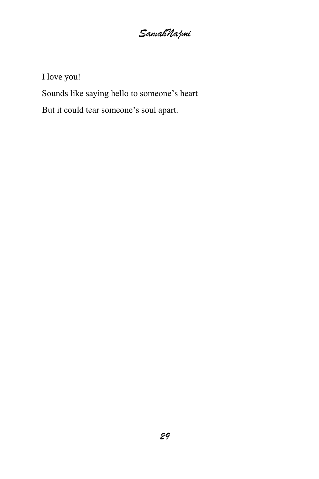I love you!

Sounds like saying hello to someone's heart But it could tear someone's soul apart.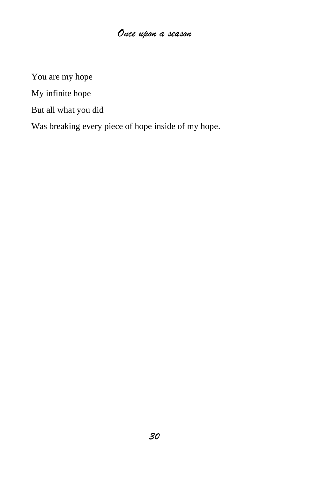You are my hope

My infinite hope

But all what you did

Was breaking every piece of hope inside of my hope.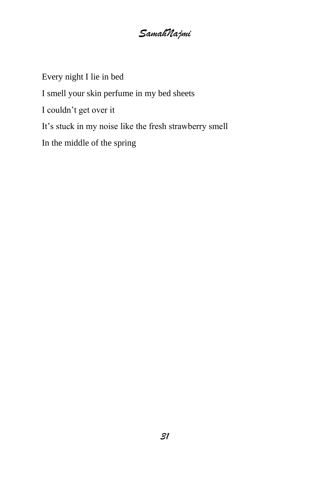Every night I lie in bed I smell your skin perfume in my bed sheets I couldn't get over it It's stuck in my noise like the fresh strawberry smell In the middle of the spring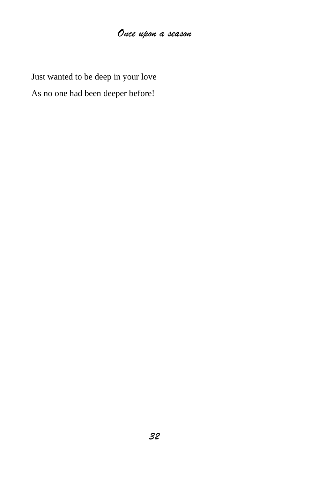Just wanted to be deep in your love

As no one had been deeper before!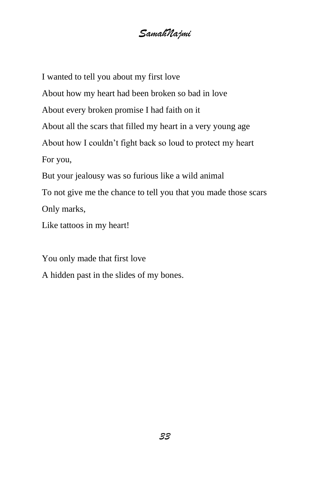I wanted to tell you about my first love About how my heart had been broken so bad in love About every broken promise I had faith on it About all the scars that filled my heart in a very young age About how I couldn't fight back so loud to protect my heart For you, But your jealousy was so furious like a wild animal To not give me the chance to tell you that you made those scars Only marks, Like tattoos in my heart!

You only made that first love

A hidden past in the slides of my bones.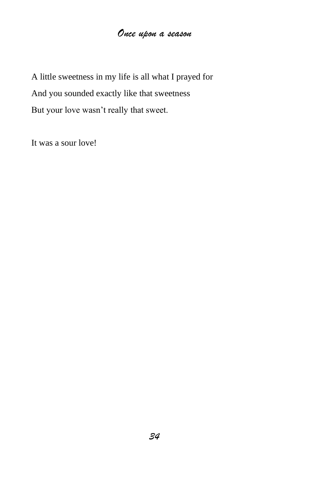A little sweetness in my life is all what I prayed for And you sounded exactly like that sweetness But your love wasn't really that sweet.

It was a sour love!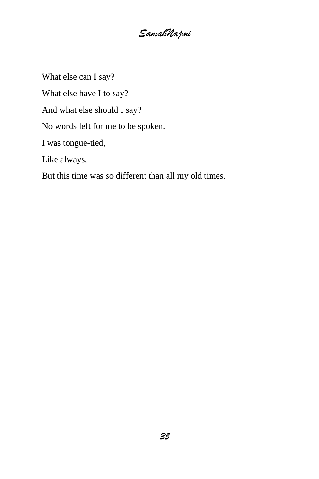*SamahNajmi*

What else can I say? What else have I to say? And what else should I say? No words left for me to be spoken. I was tongue-tied, Like always, But this time was so different than all my old times.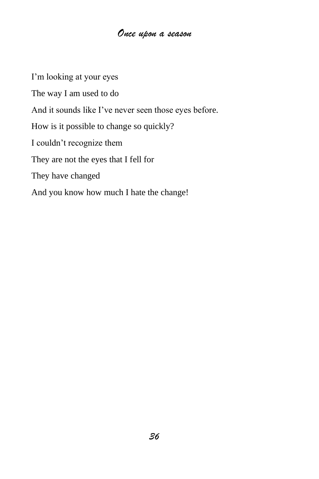I'm looking at your eyes The way I am used to do And it sounds like I've never seen those eyes before. How is it possible to change so quickly? I couldn't recognize them They are not the eyes that I fell for They have changed And you know how much I hate the change!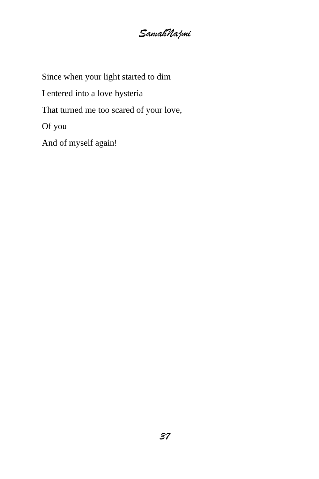Since when your light started to dim

I entered into a love hysteria

That turned me too scared of your love,

Of you

And of myself again!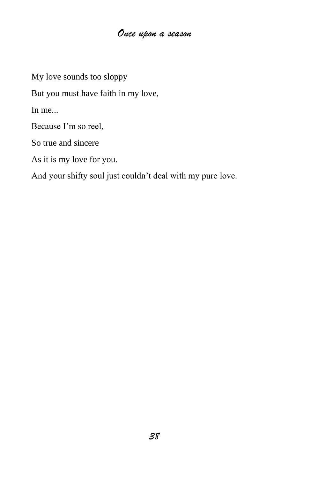My love sounds too sloppy But you must have faith in my love, In me... Because I'm so reel, So true and sincere As it is my love for you. And your shifty soul just couldn't deal with my pure love.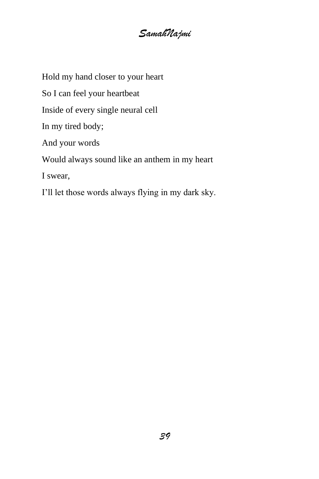*SamahNajmi*

Hold my hand closer to your heart So I can feel your heartbeat Inside of every single neural cell In my tired body; And your words Would always sound like an anthem in my heart I swear, I'll let those words always flying in my dark sky.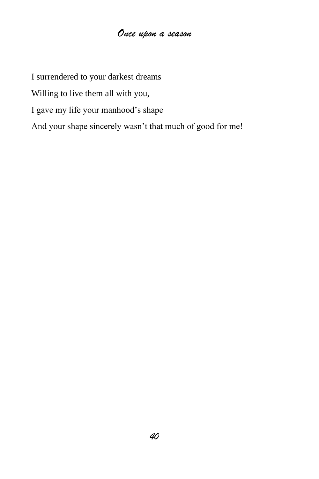I surrendered to your darkest dreams Willing to live them all with you, I gave my life your manhood's shape And your shape sincerely wasn't that much of good for me!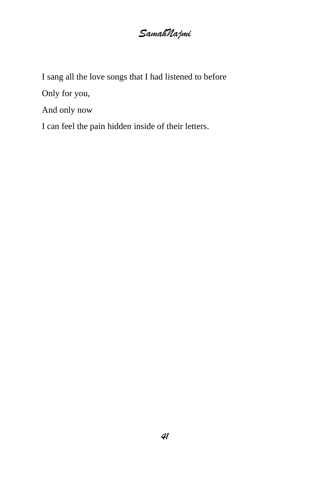I sang all the love songs that I had listened to before

Only for you,

And only now

I can feel the pain hidden inside of their letters.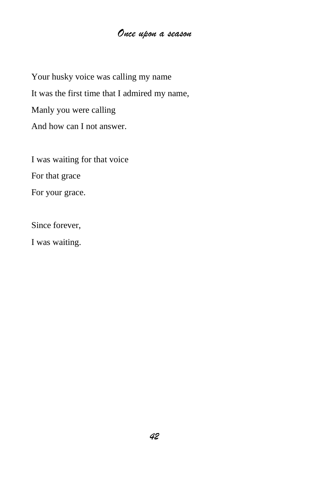Your husky voice was calling my name It was the first time that I admired my name, Manly you were calling And how can I not answer.

I was waiting for that voice For that grace For your grace.

Since forever,

I was waiting.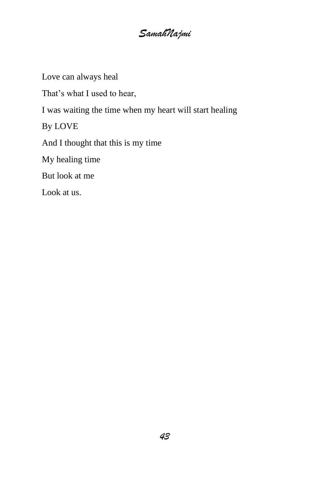Love can always heal

That's what I used to hear,

I was waiting the time when my heart will start healing

By LOVE

And I thought that this is my time

My healing time

But look at me

Look at us.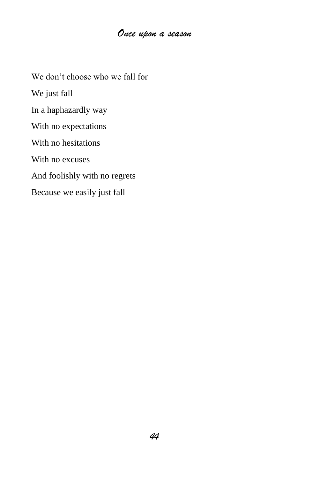We don't choose who we fall for We just fall In a haphazardly way With no expectations With no hesitations With no excuses And foolishly with no regrets Because we easily just fall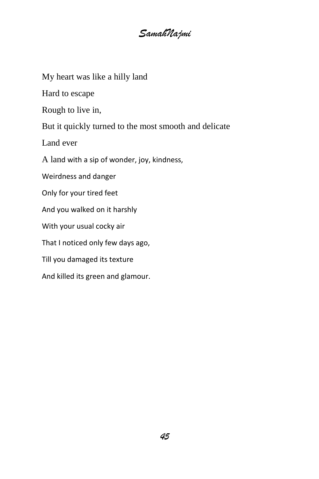My heart was like a hilly land

Hard to escape

Rough to live in,

But it quickly turned to the most smooth and delicate

Land ever

A land with a sip of wonder, joy, kindness,

Weirdness and danger

Only for your tired feet

And you walked on it harshly

With your usual cocky air

That I noticed only few days ago,

Till you damaged its texture

And killed its green and glamour.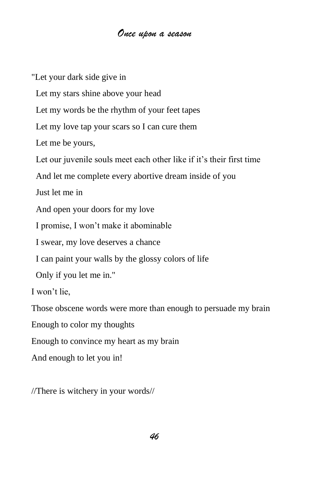"Let your dark side give in Let my stars shine above your head Let my words be the rhythm of your feet tapes Let my love tap your scars so I can cure them Let me be yours, Let our juvenile souls meet each other like if it's their first time And let me complete every abortive dream inside of you Just let me in And open your doors for my love I promise, I won't make it abominable I swear, my love deserves a chance I can paint your walls by the glossy colors of life Only if you let me in." I won't lie, Those obscene words were more than enough to persuade my brain Enough to color my thoughts Enough to convince my heart as my brain And enough to let you in!

//There is witchery in your words//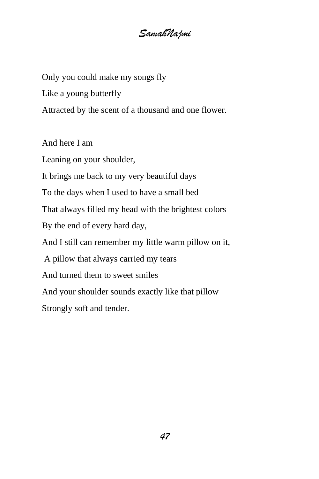Only you could make my songs fly Like a young butterfly Attracted by the scent of a thousand and one flower.

And here I am

Leaning on your shoulder,

It brings me back to my very beautiful days

To the days when I used to have a small bed

That always filled my head with the brightest colors

By the end of every hard day,

And I still can remember my little warm pillow on it,

A pillow that always carried my tears

And turned them to sweet smiles

And your shoulder sounds exactly like that pillow

Strongly soft and tender.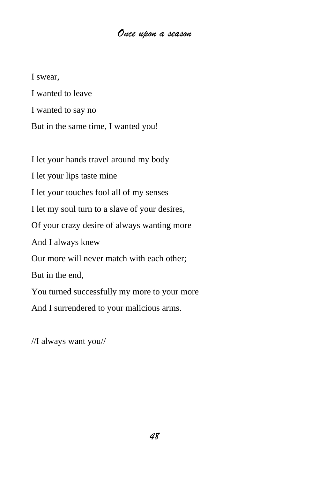I swear,

I wanted to leave

I wanted to say no

But in the same time, I wanted you!

I let your hands travel around my body I let your lips taste mine

I let your touches fool all of my senses

I let my soul turn to a slave of your desires,

Of your crazy desire of always wanting more

And I always knew

Our more will never match with each other;

But in the end,

You turned successfully my more to your more

And I surrendered to your malicious arms.

//I always want you//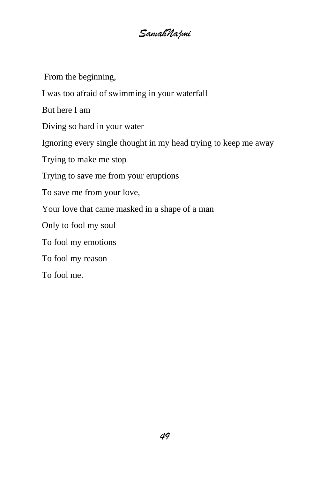From the beginning, I was too afraid of swimming in your waterfall But here I am Diving so hard in your water Ignoring every single thought in my head trying to keep me away Trying to make me stop Trying to save me from your eruptions To save me from your love, Your love that came masked in a shape of a man Only to fool my soul To fool my emotions To fool my reason To fool me.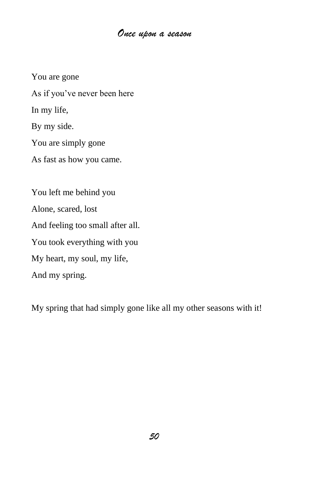You are gone As if you've never been here In my life, By my side. You are simply gone As fast as how you came. You left me behind you Alone, scared, lost And feeling too small after all. You took everything with you My heart, my soul, my life, And my spring.

My spring that had simply gone like all my other seasons with it!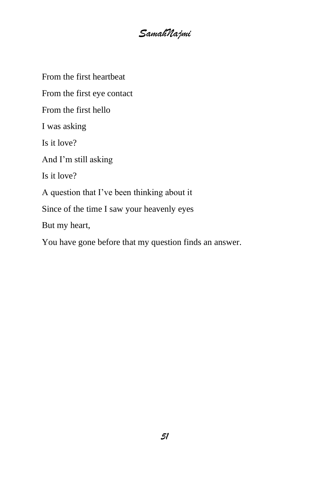*SamahNajmi*

From the first heartbeat From the first eye contact From the first hello I was asking Is it love? And I'm still asking Is it love? A question that I've been thinking about it Since of the time I saw your heavenly eyes But my heart, You have gone before that my question finds an answer.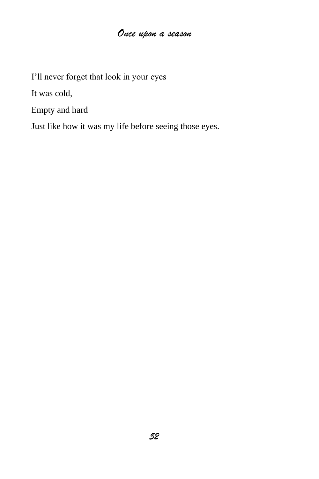I'll never forget that look in your eyes

It was cold,

Empty and hard

Just like how it was my life before seeing those eyes.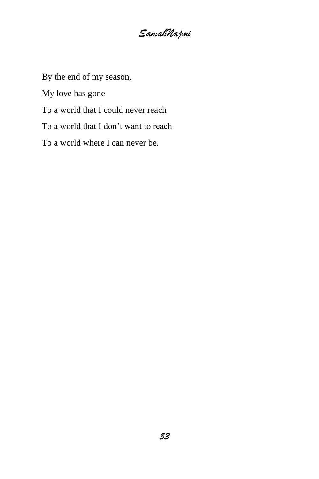By the end of my season,

My love has gone

To a world that I could never reach

To a world that I don't want to reach

To a world where I can never be.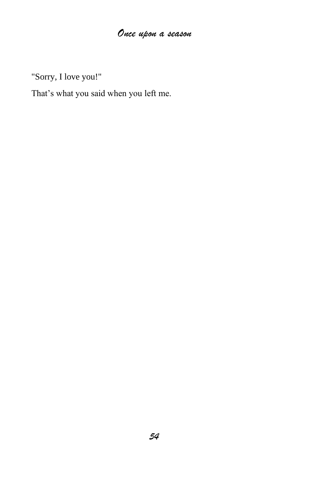"Sorry, I love you!"

That's what you said when you left me.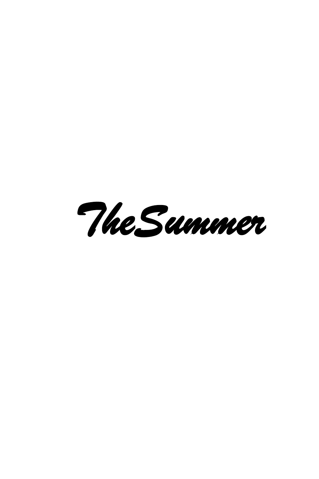*TheSummer*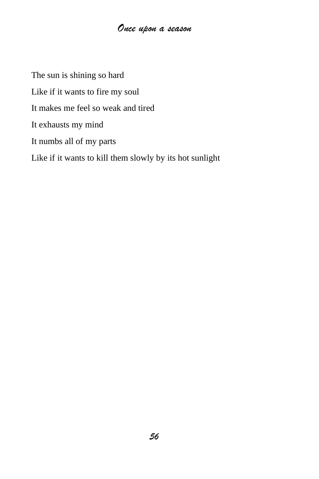The sun is shining so hard Like if it wants to fire my soul It makes me feel so weak and tired It exhausts my mind It numbs all of my parts Like if it wants to kill them slowly by its hot sunlight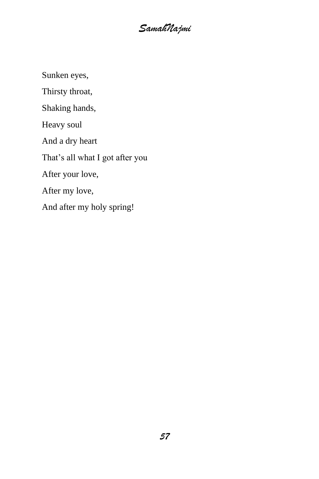*SamahNajmi*

Sunken eyes,

Thirsty throat,

Shaking hands,

Heavy soul

And a dry heart

That's all what I got after you

After your love,

After my love,

And after my holy spring!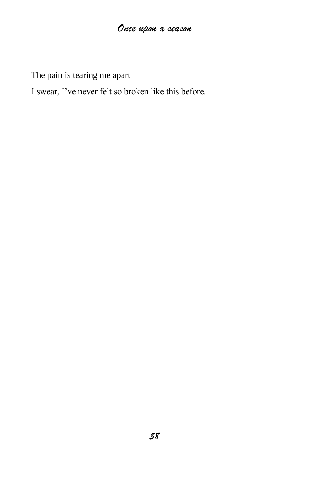The pain is tearing me apart

I swear, I've never felt so broken like this before.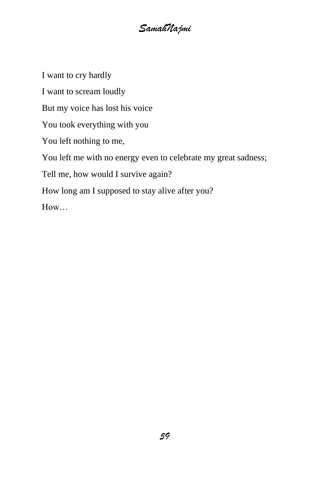I want to cry hardly I want to scream loudly But my voice has lost his voice You took everything with you You left nothing to me, You left me with no energy even to celebrate my great sadness; Tell me, how would I survive again? How long am I supposed to stay alive after you? How…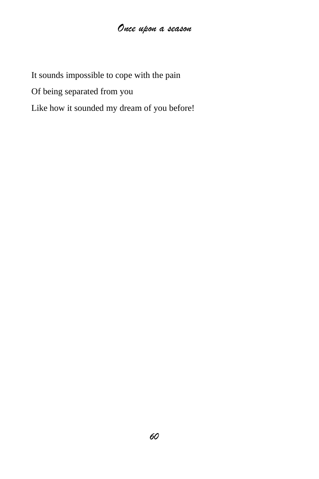It sounds impossible to cope with the pain

Of being separated from you

Like how it sounded my dream of you before!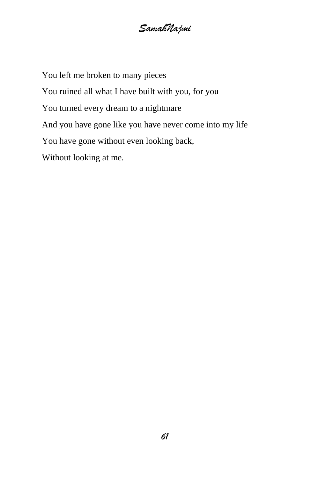You left me broken to many pieces You ruined all what I have built with you, for you You turned every dream to a nightmare And you have gone like you have never come into my life You have gone without even looking back, Without looking at me.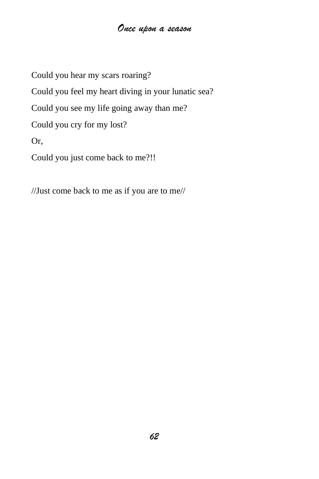Could you hear my scars roaring? Could you feel my heart diving in your lunatic sea? Could you see my life going away than me? Could you cry for my lost? Or, Could you just come back to me?!!

//Just come back to me as if you are to me//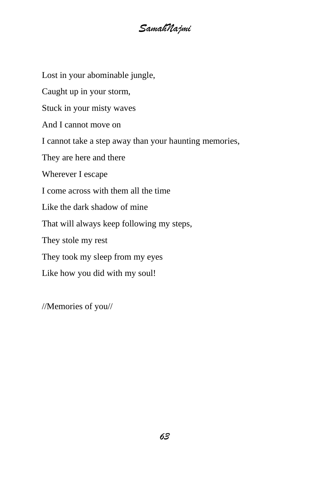Lost in your abominable jungle,

Caught up in your storm,

Stuck in your misty waves

And I cannot move on

I cannot take a step away than your haunting memories,

They are here and there

Wherever I escape

I come across with them all the time

Like the dark shadow of mine

That will always keep following my steps,

They stole my rest

They took my sleep from my eyes

Like how you did with my soul!

//Memories of you//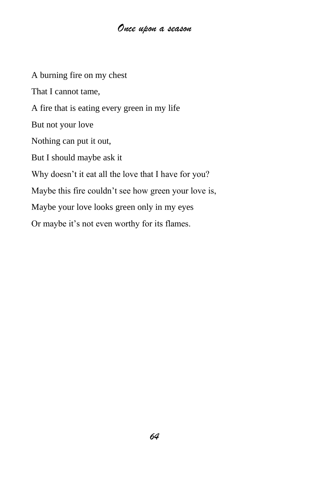A burning fire on my chest That I cannot tame, A fire that is eating every green in my life But not your love Nothing can put it out, But I should maybe ask it Why doesn't it eat all the love that I have for you? Maybe this fire couldn't see how green your love is, Maybe your love looks green only in my eyes Or maybe it's not even worthy for its flames.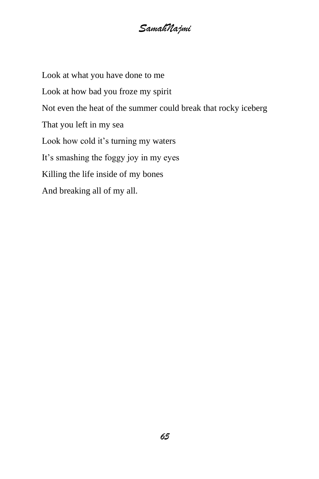*SamahNajmi*

Look at what you have done to me Look at how bad you froze my spirit Not even the heat of the summer could break that rocky iceberg That you left in my sea Look how cold it's turning my waters It's smashing the foggy joy in my eyes Killing the life inside of my bones And breaking all of my all.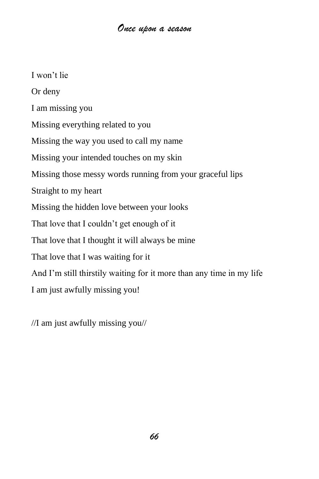I won't lie Or deny I am missing you Missing everything related to you Missing the way you used to call my name Missing your intended touches on my skin Missing those messy words running from your graceful lips Straight to my heart Missing the hidden love between your looks That love that I couldn't get enough of it That love that I thought it will always be mine That love that I was waiting for it And I'm still thirstily waiting for it more than any time in my life I am just awfully missing you!

//I am just awfully missing you//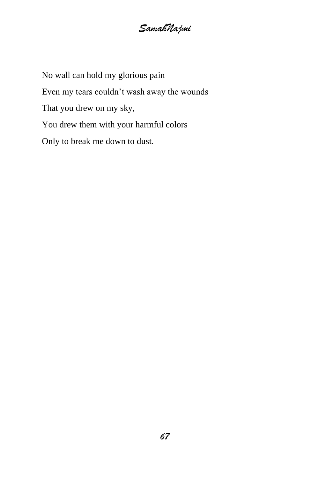*SamahNajmi*

No wall can hold my glorious pain Even my tears couldn't wash away the wounds That you drew on my sky, You drew them with your harmful colors Only to break me down to dust.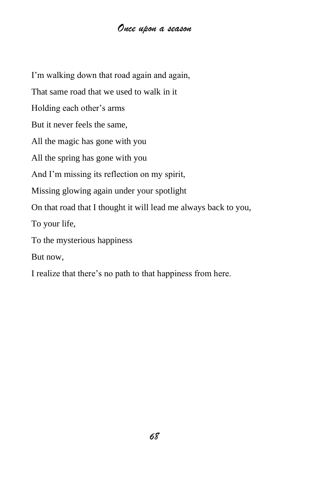I'm walking down that road again and again, That same road that we used to walk in it Holding each other's arms But it never feels the same, All the magic has gone with you All the spring has gone with you And I'm missing its reflection on my spirit, Missing glowing again under your spotlight On that road that I thought it will lead me always back to you, To your life, To the mysterious happiness But now,

I realize that there's no path to that happiness from here.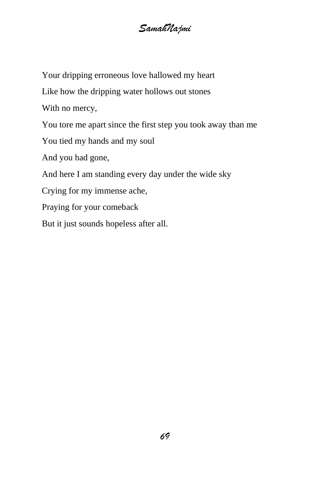Your dripping erroneous love hallowed my heart Like how the dripping water hollows out stones With no mercy, You tore me apart since the first step you took away than me You tied my hands and my soul And you had gone, And here I am standing every day under the wide sky Crying for my immense ache, Praying for your comeback But it just sounds hopeless after all.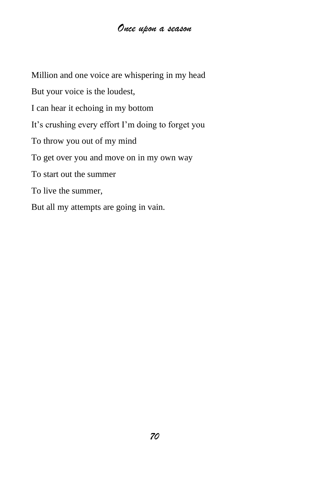Million and one voice are whispering in my head But your voice is the loudest, I can hear it echoing in my bottom It's crushing every effort I'm doing to forget you To throw you out of my mind To get over you and move on in my own way To start out the summer To live the summer, But all my attempts are going in vain.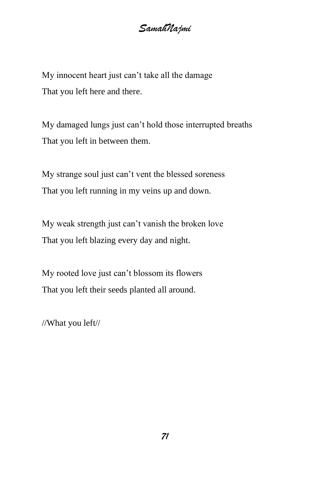My innocent heart just can't take all the damage That you left here and there.

My damaged lungs just can't hold those interrupted breaths That you left in between them.

My strange soul just can't vent the blessed soreness That you left running in my veins up and down.

My weak strength just can't vanish the broken love That you left blazing every day and night.

My rooted love just can't blossom its flowers That you left their seeds planted all around.

//What you left//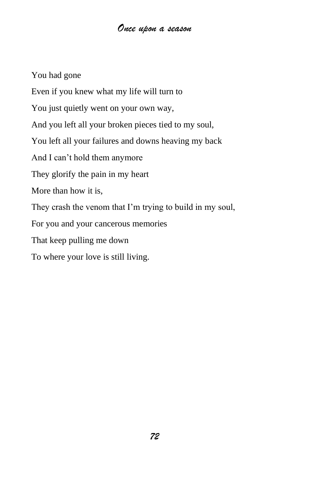You had gone Even if you knew what my life will turn to You just quietly went on your own way, And you left all your broken pieces tied to my soul, You left all your failures and downs heaving my back And I can't hold them anymore They glorify the pain in my heart More than how it is, They crash the venom that I'm trying to build in my soul, For you and your cancerous memories That keep pulling me down To where your love is still living.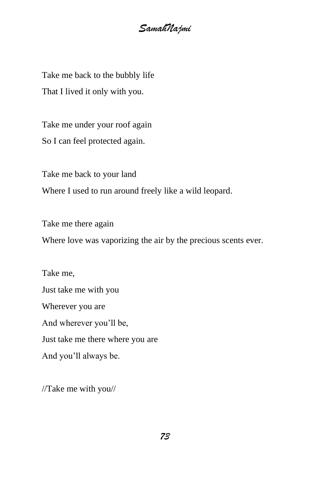Take me back to the bubbly life That I lived it only with you.

Take me under your roof again So I can feel protected again.

Take me back to your land Where I used to run around freely like a wild leopard.

Take me there again Where love was vaporizing the air by the precious scents ever.

Take me, Just take me with you Wherever you are And wherever you'll be, Just take me there where you are And you'll always be.

//Take me with you//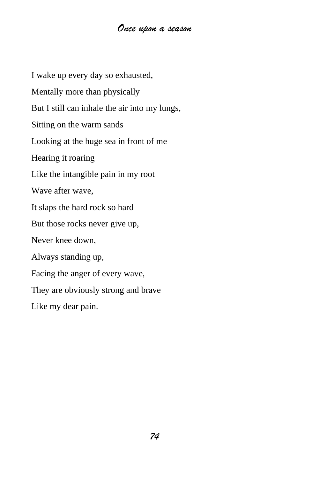I wake up every day so exhausted, Mentally more than physically But I still can inhale the air into my lungs, Sitting on the warm sands Looking at the huge sea in front of me Hearing it roaring Like the intangible pain in my root Wave after wave, It slaps the hard rock so hard But those rocks never give up, Never knee down, Always standing up, Facing the anger of every wave, They are obviously strong and brave Like my dear pain.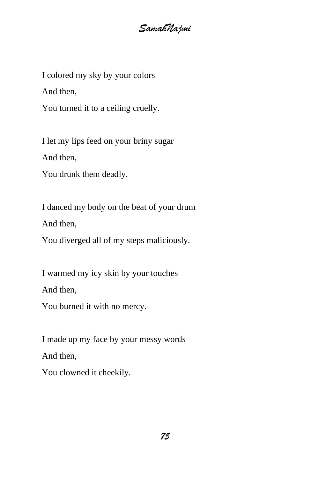I colored my sky by your colors And then,

You turned it to a ceiling cruelly.

I let my lips feed on your briny sugar And then,

You drunk them deadly.

I danced my body on the beat of your drum And then,

You diverged all of my steps maliciously.

I warmed my icy skin by your touches And then,

You burned it with no mercy.

I made up my face by your messy words

And then,

You clowned it cheekily.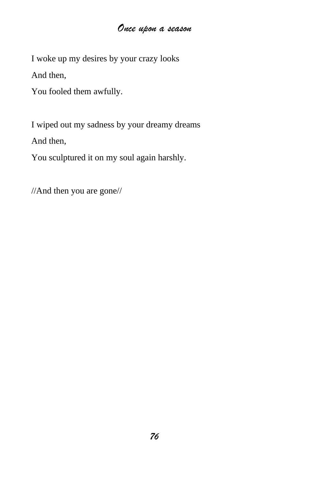I woke up my desires by your crazy looks

And then,

You fooled them awfully.

I wiped out my sadness by your dreamy dreams

And then,

You sculptured it on my soul again harshly.

//And then you are gone//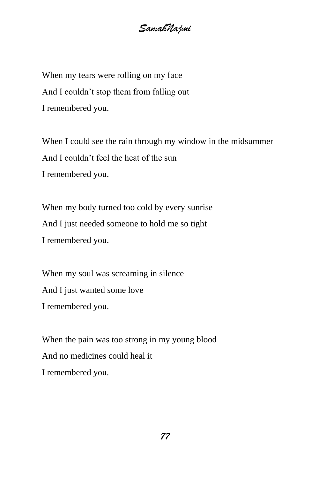When my tears were rolling on my face And I couldn't stop them from falling out I remembered you.

When I could see the rain through my window in the midsummer And I couldn't feel the heat of the sun I remembered you.

When my body turned too cold by every sunrise And I just needed someone to hold me so tight I remembered you.

When my soul was screaming in silence And I just wanted some love I remembered you.

When the pain was too strong in my young blood And no medicines could heal it I remembered you.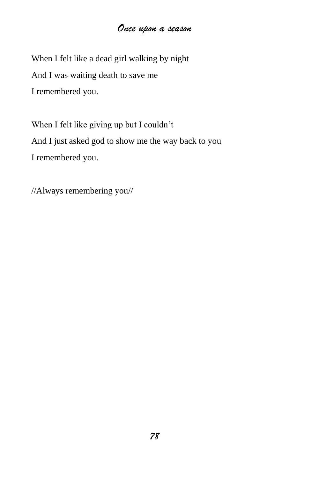When I felt like a dead girl walking by night And I was waiting death to save me I remembered you.

When I felt like giving up but I couldn't And I just asked god to show me the way back to you I remembered you.

//Always remembering you//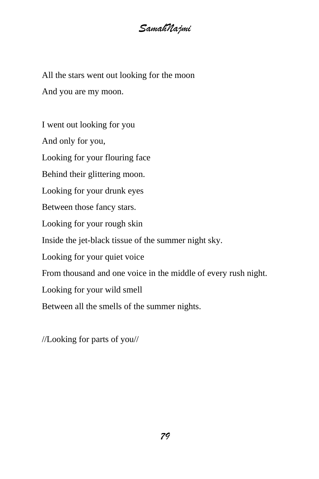All the stars went out looking for the moon And you are my moon.

I went out looking for you

And only for you,

Looking for your flouring face

Behind their glittering moon.

Looking for your drunk eyes

Between those fancy stars.

Looking for your rough skin

Inside the jet-black tissue of the summer night sky.

Looking for your quiet voice

From thousand and one voice in the middle of every rush night.

Looking for your wild smell

Between all the smells of the summer nights.

//Looking for parts of you//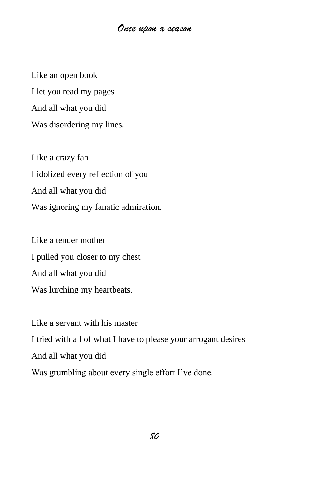Like an open book I let you read my pages And all what you did Was disordering my lines.

Like a crazy fan I idolized every reflection of you And all what you did Was ignoring my fanatic admiration.

Like a tender mother I pulled you closer to my chest And all what you did Was lurching my heartbeats.

Like a servant with his master I tried with all of what I have to please your arrogant desires And all what you did Was grumbling about every single effort I've done.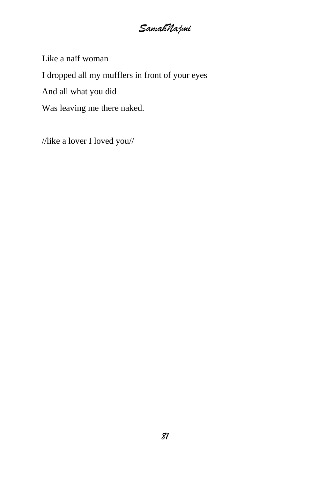

Like a naïf woman I dropped all my mufflers in front of your eyes And all what you did Was leaving me there naked.

//like a lover I loved you//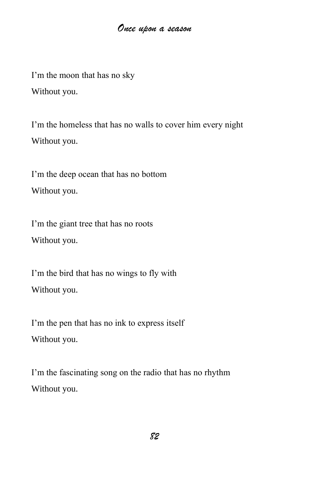I'm the moon that has no sky Without you.

I'm the homeless that has no walls to cover him every night Without you.

I'm the deep ocean that has no bottom Without you.

I'm the giant tree that has no roots Without you.

I'm the bird that has no wings to fly with Without you.

I'm the pen that has no ink to express itself Without you.

I'm the fascinating song on the radio that has no rhythm Without you.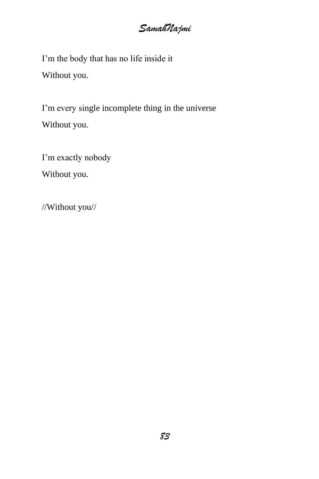I'm the body that has no life inside it Without you.

I'm every single incomplete thing in the universe Without you.

I'm exactly nobody

Without you.

//Without you//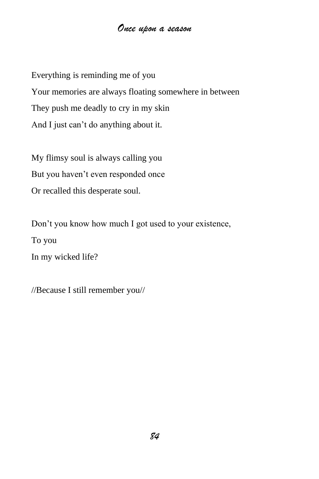Everything is reminding me of you Your memories are always floating somewhere in between They push me deadly to cry in my skin And I just can't do anything about it.

My flimsy soul is always calling you But you haven't even responded once Or recalled this desperate soul.

Don't you know how much I got used to your existence, To you In my wicked life?

//Because I still remember you//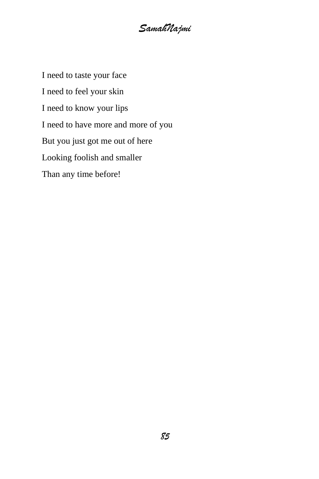I need to taste your face I need to feel your skin I need to know your lips I need to have more and more of you But you just got me out of here Looking foolish and smaller Than any time before!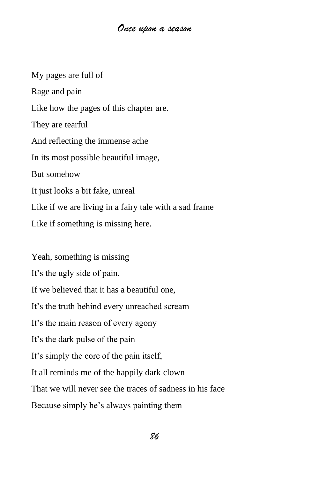My pages are full of Rage and pain Like how the pages of this chapter are. They are tearful And reflecting the immense ache In its most possible beautiful image, But somehow It just looks a bit fake, unreal Like if we are living in a fairy tale with a sad frame Like if something is missing here.

Yeah, something is missing It's the ugly side of pain, If we believed that it has a beautiful one, It's the truth behind every unreached scream It's the main reason of every agony It's the dark pulse of the pain It's simply the core of the pain itself, It all reminds me of the happily dark clown That we will never see the traces of sadness in his face Because simply he's always painting them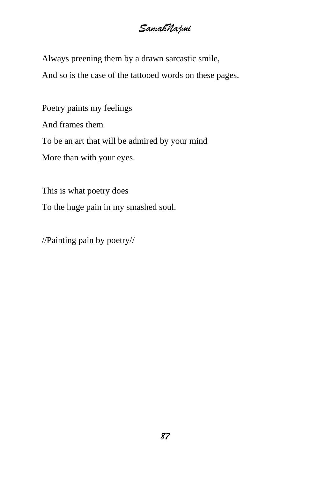Always preening them by a drawn sarcastic smile, And so is the case of the tattooed words on these pages.

Poetry paints my feelings And frames them To be an art that will be admired by your mind More than with your eyes.

This is what poetry does To the huge pain in my smashed soul.

//Painting pain by poetry//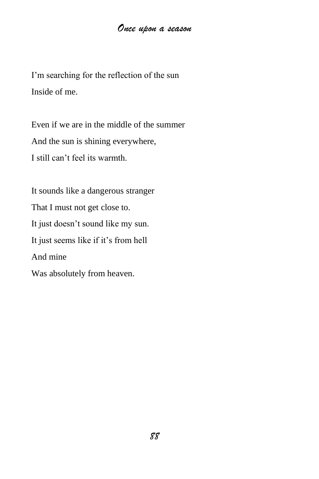I'm searching for the reflection of the sun Inside of me.

Even if we are in the middle of the summer And the sun is shining everywhere, I still can't feel its warmth.

It sounds like a dangerous stranger That I must not get close to. It just doesn't sound like my sun. It just seems like if it's from hell And mine Was absolutely from heaven.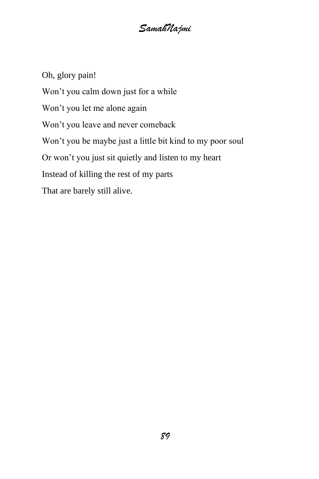Oh, glory pain! Won't you calm down just for a while Won't you let me alone again Won't you leave and never comeback Won't you be maybe just a little bit kind to my poor soul Or won't you just sit quietly and listen to my heart Instead of killing the rest of my parts That are barely still alive.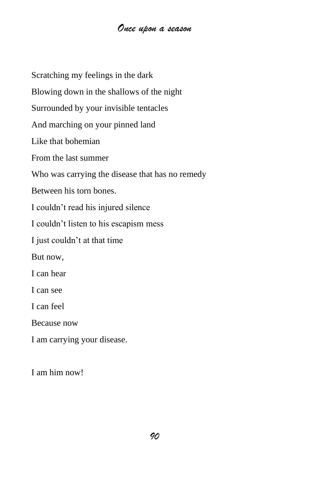Scratching my feelings in the dark Blowing down in the shallows of the night Surrounded by your invisible tentacles And marching on your pinned land Like that bohemian From the last summer Who was carrying the disease that has no remedy Between his torn bones. I couldn't read his injured silence I couldn't listen to his escapism mess I just couldn't at that time But now, I can hear I can see I can feel Because now I am carrying your disease.

I am him now!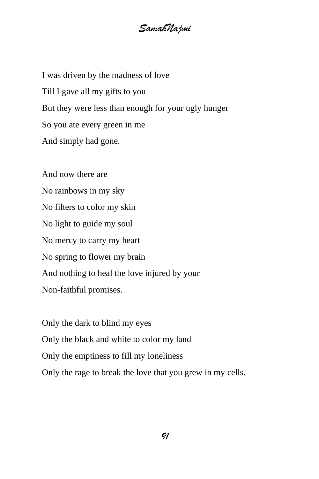*SamahNajmi*

I was driven by the madness of love Till I gave all my gifts to you But they were less than enough for your ugly hunger So you ate every green in me And simply had gone.

And now there are No rainbows in my sky No filters to color my skin No light to guide my soul No mercy to carry my heart No spring to flower my brain And nothing to heal the love injured by your Non-faithful promises.

Only the dark to blind my eyes Only the black and white to color my land Only the emptiness to fill my loneliness Only the rage to break the love that you grew in my cells.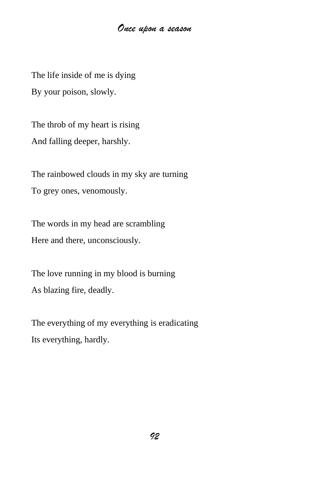The life inside of me is dying By your poison, slowly.

The throb of my heart is rising And falling deeper, harshly.

The rainbowed clouds in my sky are turning To grey ones, venomously.

The words in my head are scrambling Here and there, unconsciously.

The love running in my blood is burning As blazing fire, deadly.

The everything of my everything is eradicating Its everything, hardly.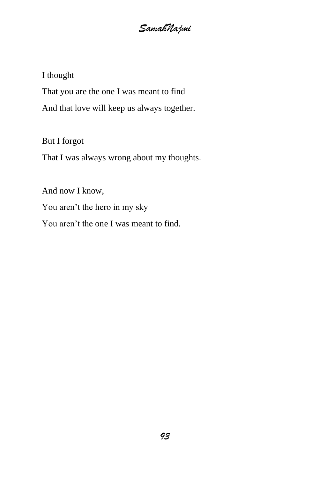I thought That you are the one I was meant to find And that love will keep us always together.

But I forgot

That I was always wrong about my thoughts.

And now I know,

You aren't the hero in my sky

You aren't the one I was meant to find.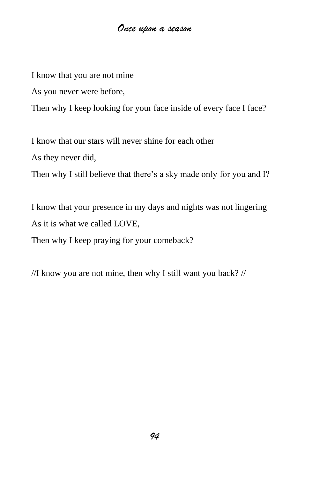I know that you are not mine

As you never were before,

Then why I keep looking for your face inside of every face I face?

I know that our stars will never shine for each other As they never did,

Then why I still believe that there's a sky made only for you and I?

I know that your presence in my days and nights was not lingering As it is what we called LOVE,

Then why I keep praying for your comeback?

//I know you are not mine, then why I still want you back? //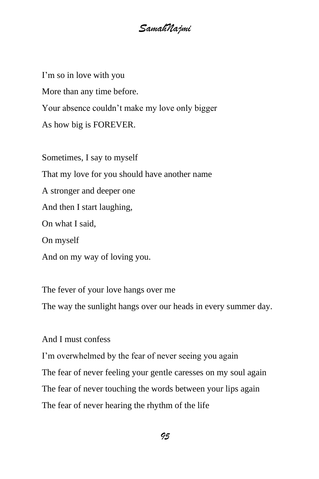I'm so in love with you More than any time before. Your absence couldn't make my love only bigger As how big is FOREVER.

Sometimes, I say to myself That my love for you should have another name A stronger and deeper one And then I start laughing, On what I said, On myself And on my way of loving you.

The fever of your love hangs over me The way the sunlight hangs over our heads in every summer day.

And I must confess

I'm overwhelmed by the fear of never seeing you again The fear of never feeling your gentle caresses on my soul again The fear of never touching the words between your lips again The fear of never hearing the rhythm of the life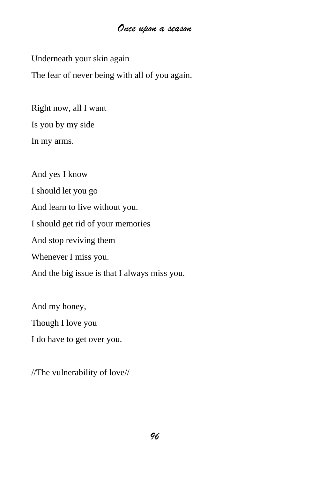Underneath your skin again The fear of never being with all of you again.

Right now, all I want Is you by my side In my arms.

And yes I know I should let you go And learn to live without you. I should get rid of your memories And stop reviving them Whenever I miss you. And the big issue is that I always miss you.

And my honey, Though I love you

I do have to get over you.

//The vulnerability of love//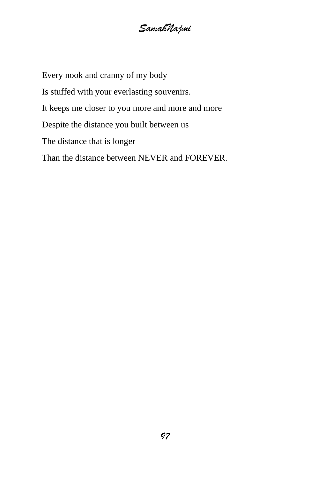*SamahNajmi*

Every nook and cranny of my body Is stuffed with your everlasting souvenirs. It keeps me closer to you more and more and more Despite the distance you built between us The distance that is longer Than the distance between NEVER and FOREVER.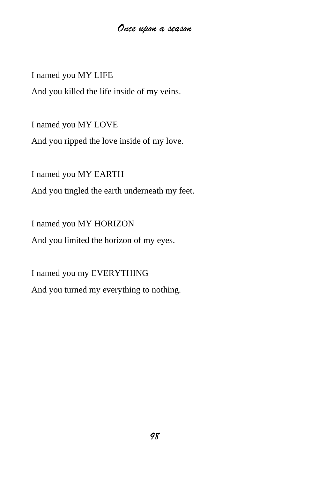I named you MY LIFE And you killed the life inside of my veins.

I named you MY LOVE And you ripped the love inside of my love.

I named you MY EARTH And you tingled the earth underneath my feet.

I named you MY HORIZON And you limited the horizon of my eyes.

I named you my EVERYTHING And you turned my everything to nothing.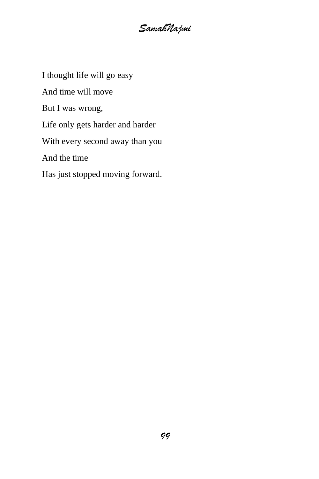I thought life will go easy And time will move But I was wrong, Life only gets harder and harder With every second away than you And the time Has just stopped moving forward.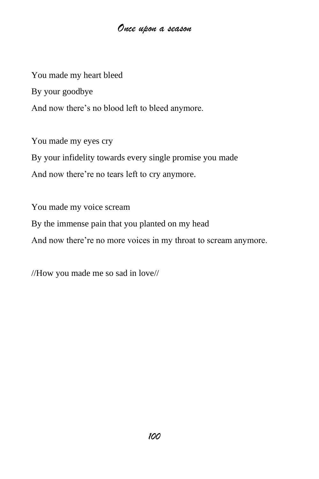You made my heart bleed By your goodbye And now there's no blood left to bleed anymore.

You made my eyes cry By your infidelity towards every single promise you made And now there're no tears left to cry anymore.

You made my voice scream By the immense pain that you planted on my head And now there're no more voices in my throat to scream anymore.

//How you made me so sad in love//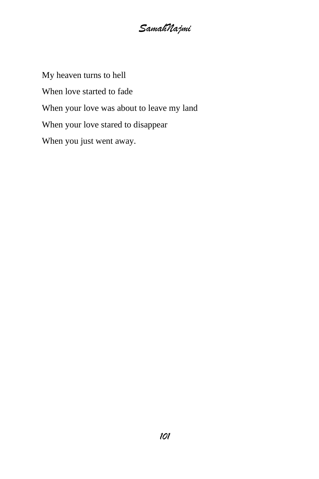My heaven turns to hell When love started to fade When your love was about to leave my land When your love stared to disappear When you just went away.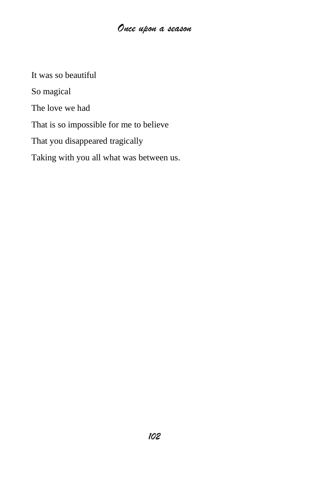It was so beautiful

So magical

The love we had

That is so impossible for me to believe

That you disappeared tragically

Taking with you all what was between us.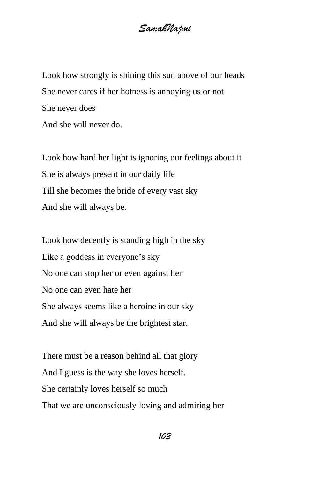Look how strongly is shining this sun above of our heads She never cares if her hotness is annoying us or not She never does And she will never do.

Look how hard her light is ignoring our feelings about it She is always present in our daily life Till she becomes the bride of every vast sky And she will always be.

Look how decently is standing high in the sky Like a goddess in everyone's sky No one can stop her or even against her No one can even hate her She always seems like a heroine in our sky And she will always be the brightest star.

There must be a reason behind all that glory And I guess is the way she loves herself. She certainly loves herself so much That we are unconsciously loving and admiring her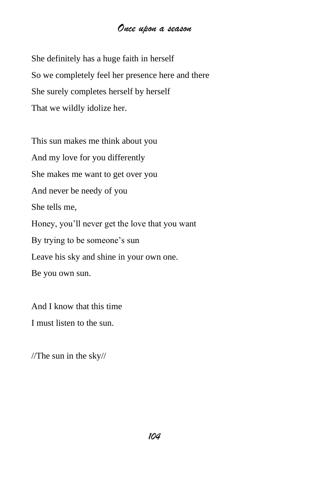She definitely has a huge faith in herself So we completely feel her presence here and there She surely completes herself by herself That we wildly idolize her.

This sun makes me think about you And my love for you differently She makes me want to get over you And never be needy of you She tells me, Honey, you'll never get the love that you want By trying to be someone's sun Leave his sky and shine in your own one. Be you own sun.

And I know that this time I must listen to the sun.

//The sun in the sky//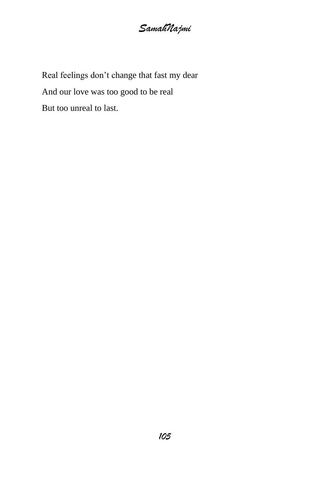Real feelings don't change that fast my dear And our love was too good to be real But too unreal to last.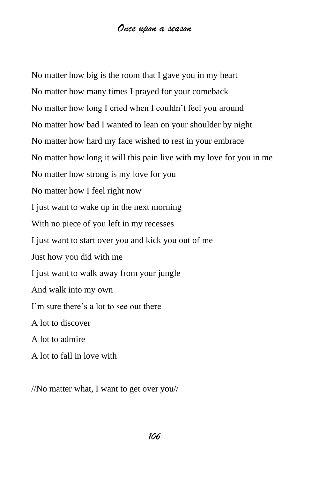No matter how big is the room that I gave you in my heart No matter how many times I prayed for your comeback No matter how long I cried when I couldn't feel you around No matter how bad I wanted to lean on your shoulder by night No matter how hard my face wished to rest in your embrace No matter how long it will this pain live with my love for you in me No matter how strong is my love for you No matter how I feel right now I just want to wake up in the next morning With no piece of you left in my recesses I just want to start over you and kick you out of me Just how you did with me I just want to walk away from your jungle And walk into my own I'm sure there's a lot to see out there A lot to discover A lot to admire A lot to fall in love with

//No matter what, I want to get over you//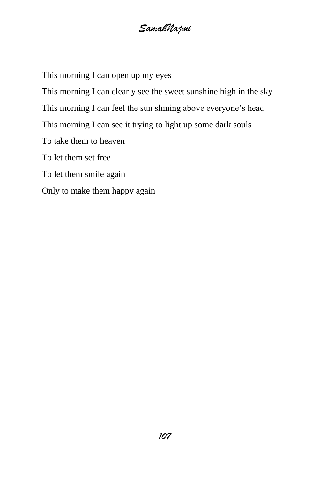*SamahNajmi*

This morning I can open up my eyes This morning I can clearly see the sweet sunshine high in the sky This morning I can feel the sun shining above everyone's head This morning I can see it trying to light up some dark souls To take them to heaven To let them set free To let them smile again Only to make them happy again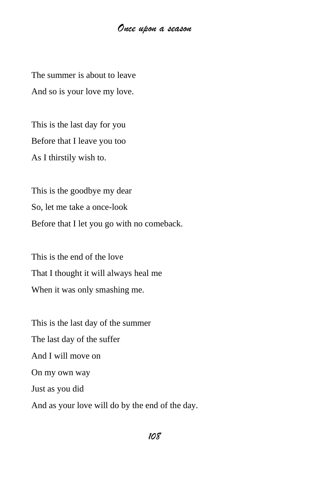The summer is about to leave And so is your love my love.

This is the last day for you Before that I leave you too As I thirstily wish to.

This is the goodbye my dear So, let me take a once-look Before that I let you go with no comeback.

This is the end of the love That I thought it will always heal me When it was only smashing me.

This is the last day of the summer The last day of the suffer And I will move on On my own way Just as you did And as your love will do by the end of the day.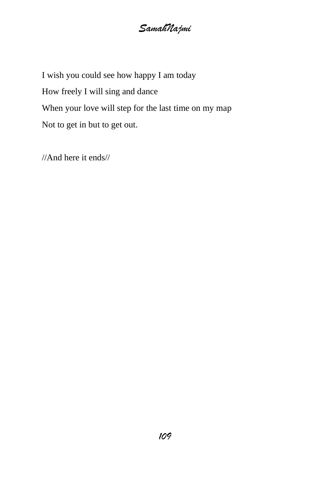I wish you could see how happy I am today How freely I will sing and dance When your love will step for the last time on my map Not to get in but to get out.

//And here it ends//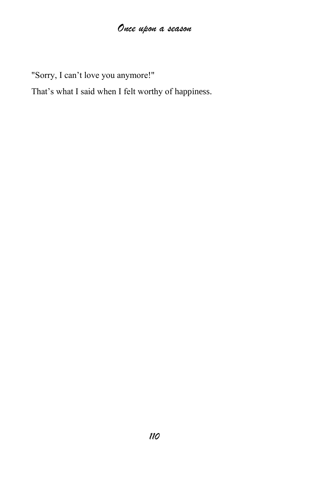"Sorry, I can't love you anymore!"

That's what I said when I felt worthy of happiness.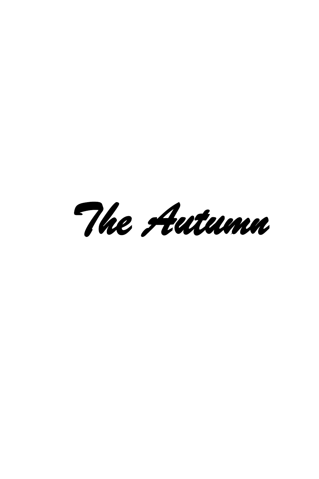*The Autumn*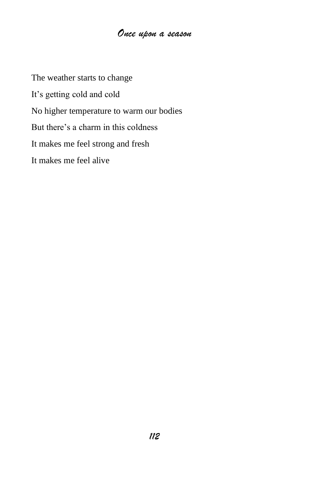The weather starts to change It's getting cold and cold No higher temperature to warm our bodies But there's a charm in this coldness It makes me feel strong and fresh It makes me feel alive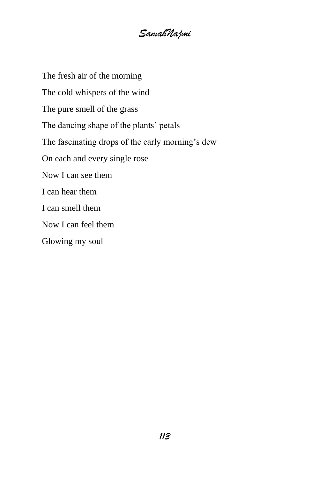The fresh air of the morning The cold whispers of the wind The pure smell of the grass The dancing shape of the plants' petals The fascinating drops of the early morning's dew On each and every single rose Now I can see them I can hear them I can smell them Now I can feel them Glowing my soul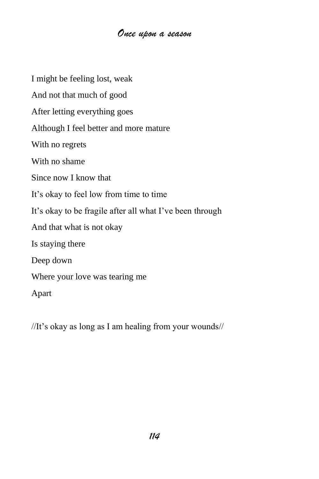I might be feeling lost, weak And not that much of good After letting everything goes Although I feel better and more mature With no regrets With no shame Since now I know that It's okay to feel low from time to time It's okay to be fragile after all what I've been through And that what is not okay Is staying there Deep down Where your love was tearing me Apart

//It's okay as long as I am healing from your wounds//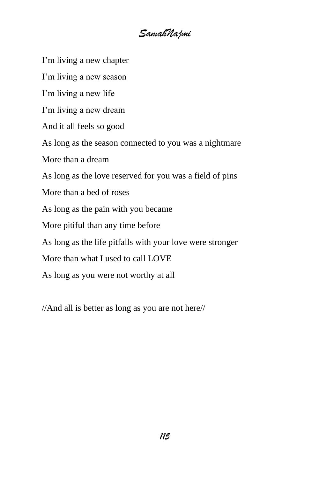I'm living a new chapter I'm living a new season I'm living a new life I'm living a new dream And it all feels so good As long as the season connected to you was a nightmare More than a dream As long as the love reserved for you was a field of pins More than a bed of roses As long as the pain with you became More pitiful than any time before As long as the life pitfalls with your love were stronger More than what I used to call LOVE As long as you were not worthy at all

//And all is better as long as you are not here//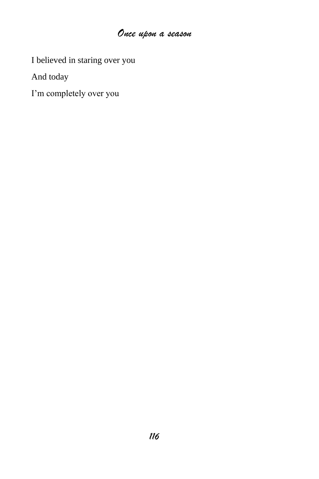I believed in staring over you

And today

I'm completely over you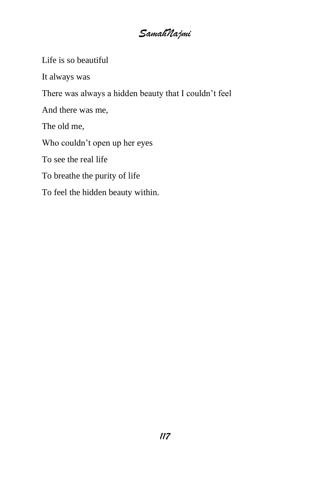*SamahNajmi*

Life is so beautiful

It always was

There was always a hidden beauty that I couldn't feel

And there was me,

The old me,

Who couldn't open up her eyes

To see the real life

To breathe the purity of life

To feel the hidden beauty within.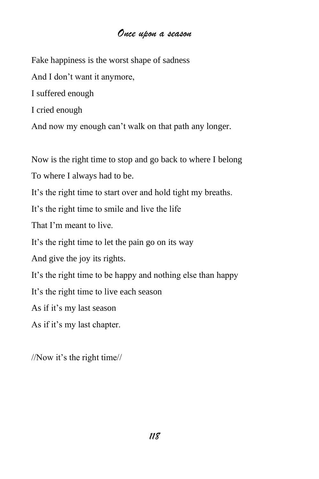Fake happiness is the worst shape of sadness And I don't want it anymore, I suffered enough I cried enough And now my enough can't walk on that path any longer. Now is the right time to stop and go back to where I belong

To where I always had to be.

It's the right time to start over and hold tight my breaths.

It's the right time to smile and live the life

That I'm meant to live.

It's the right time to let the pain go on its way

And give the joy its rights.

It's the right time to be happy and nothing else than happy

It's the right time to live each season

As if it's my last season

As if it's my last chapter.

//Now it's the right time//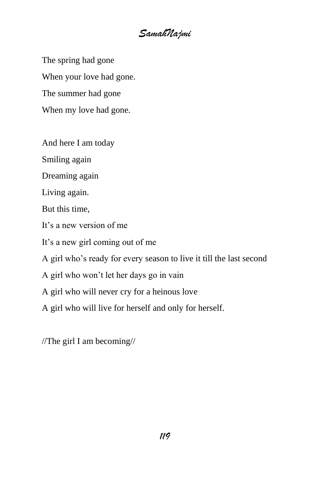The spring had gone When your love had gone. The summer had gone When my love had gone.

And here I am today

Smiling again

Dreaming again

Living again.

But this time,

It's a new version of me

It's a new girl coming out of me

A girl who's ready for every season to live it till the last second

A girl who won't let her days go in vain

A girl who will never cry for a heinous love

A girl who will live for herself and only for herself.

//The girl I am becoming//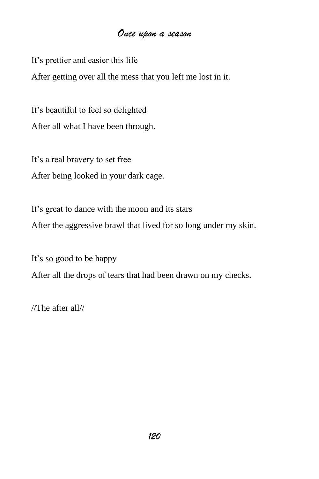It's prettier and easier this life

After getting over all the mess that you left me lost in it.

It's beautiful to feel so delighted After all what I have been through.

It's a real bravery to set free After being looked in your dark cage.

It's great to dance with the moon and its stars After the aggressive brawl that lived for so long under my skin.

It's so good to be happy After all the drops of tears that had been drawn on my checks.

//The after all//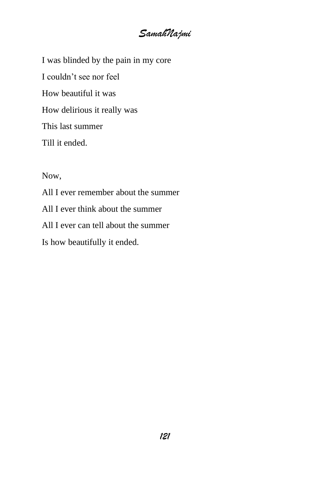I was blinded by the pain in my core I couldn't see nor feel How beautiful it was How delirious it really was This last summer Till it ended.

Now,

All I ever remember about the summer All I ever think about the summer All I ever can tell about the summer Is how beautifully it ended.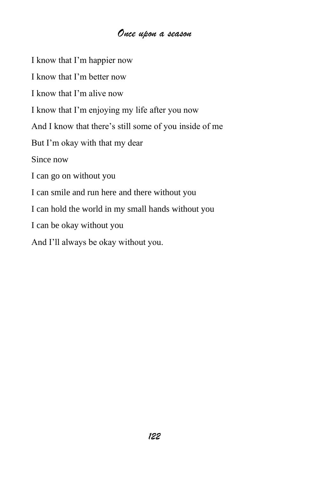I know that I'm happier now I know that I'm better now I know that I'm alive now I know that I'm enjoying my life after you now And I know that there's still some of you inside of me But I'm okay with that my dear Since now I can go on without you I can smile and run here and there without you I can hold the world in my small hands without you I can be okay without you And I'll always be okay without you.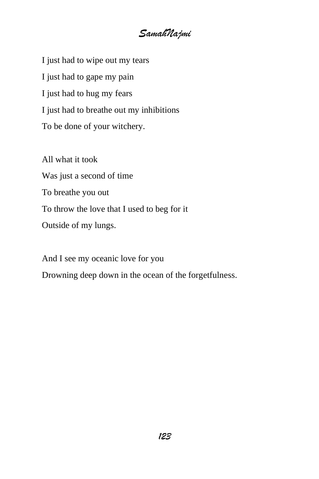I just had to wipe out my tears I just had to gape my pain I just had to hug my fears I just had to breathe out my inhibitions To be done of your witchery.

All what it took Was just a second of time To breathe you out To throw the love that I used to beg for it Outside of my lungs.

And I see my oceanic love for you Drowning deep down in the ocean of the forgetfulness.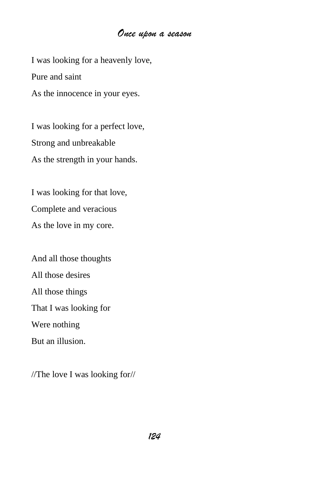I was looking for a heavenly love, Pure and saint As the innocence in your eyes.

I was looking for a perfect love, Strong and unbreakable As the strength in your hands.

I was looking for that love, Complete and veracious As the love in my core.

And all those thoughts All those desires All those things That I was looking for Were nothing But an illusion.

//The love I was looking for//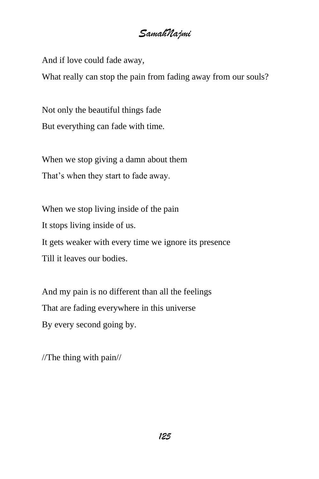And if love could fade away,

What really can stop the pain from fading away from our souls?

Not only the beautiful things fade But everything can fade with time.

When we stop giving a damn about them That's when they start to fade away.

When we stop living inside of the pain It stops living inside of us. It gets weaker with every time we ignore its presence Till it leaves our bodies.

And my pain is no different than all the feelings That are fading everywhere in this universe By every second going by.

//The thing with pain//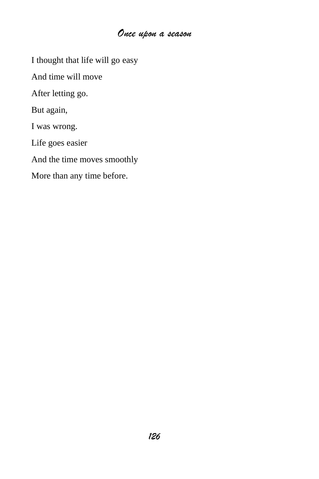I thought that life will go easy

And time will move

After letting go.

But again,

I was wrong.

Life goes easier

And the time moves smoothly

More than any time before.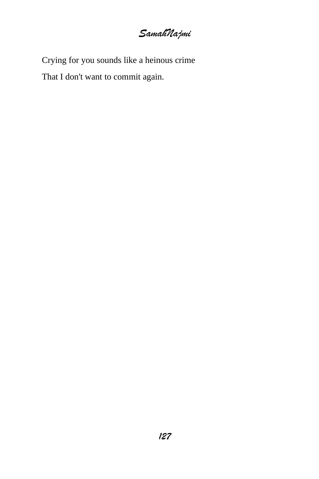Crying for you sounds like a heinous crime That I don't want to commit again.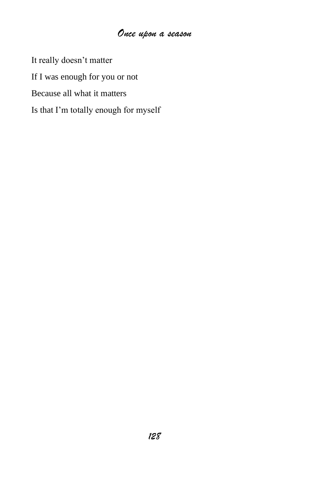It really doesn't matter If I was enough for you or not Because all what it matters Is that I'm totally enough for myself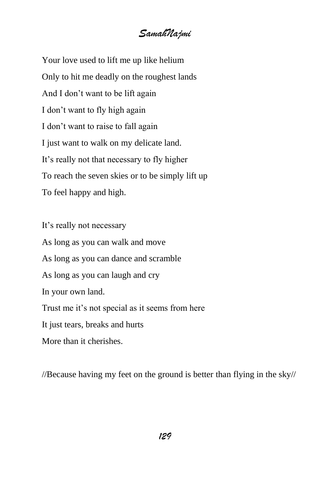Your love used to lift me up like helium Only to hit me deadly on the roughest lands And I don't want to be lift again I don't want to fly high again I don't want to raise to fall again I just want to walk on my delicate land. It's really not that necessary to fly higher To reach the seven skies or to be simply lift up To feel happy and high.

It's really not necessary As long as you can walk and move As long as you can dance and scramble As long as you can laugh and cry In your own land. Trust me it's not special as it seems from here It just tears, breaks and hurts More than it cherishes.

//Because having my feet on the ground is better than flying in the sky//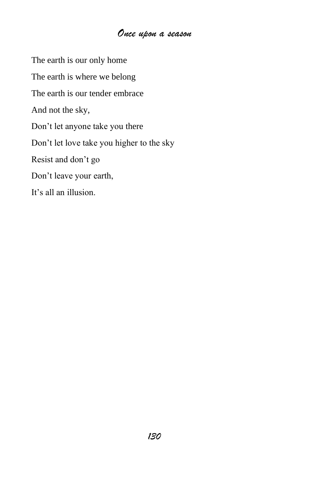The earth is our only home The earth is where we belong The earth is our tender embrace And not the sky, Don't let anyone take you there Don't let love take you higher to the sky Resist and don't go Don't leave your earth, It's all an illusion.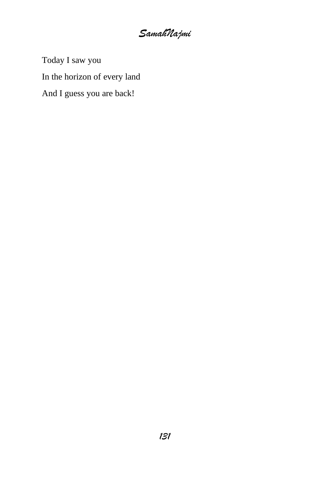*SamahNajmi*

Today I saw you In the horizon of every land And I guess you are back!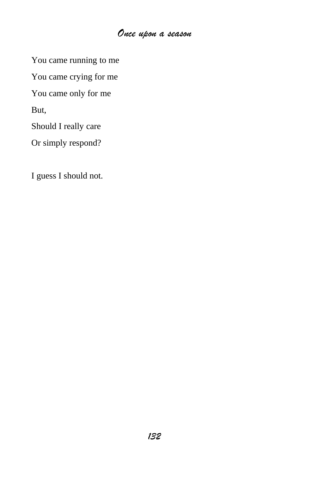You came running to me You came crying for me You came only for me But, Should I really care Or simply respond?

I guess I should not.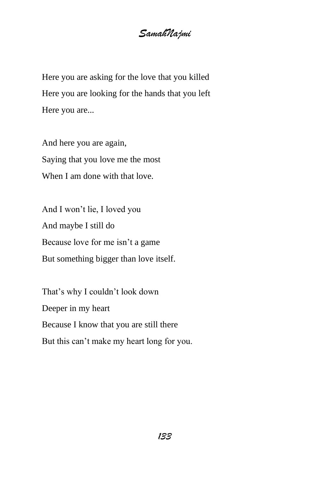Here you are asking for the love that you killed Here you are looking for the hands that you left Here you are...

And here you are again, Saying that you love me the most When I am done with that love.

And I won't lie, I loved you And maybe I still do Because love for me isn't a game But something bigger than love itself.

That's why I couldn't look down Deeper in my heart Because I know that you are still there But this can't make my heart long for you.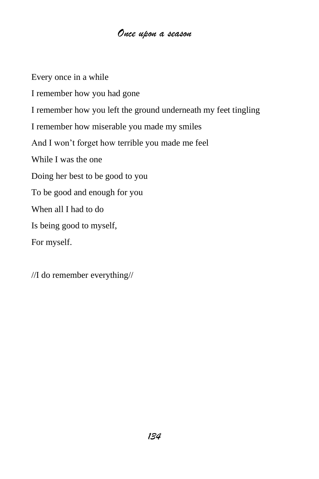Every once in a while I remember how you had gone I remember how you left the ground underneath my feet tingling I remember how miserable you made my smiles And I won't forget how terrible you made me feel While I was the one Doing her best to be good to you To be good and enough for you When all I had to do Is being good to myself, For myself.

//I do remember everything//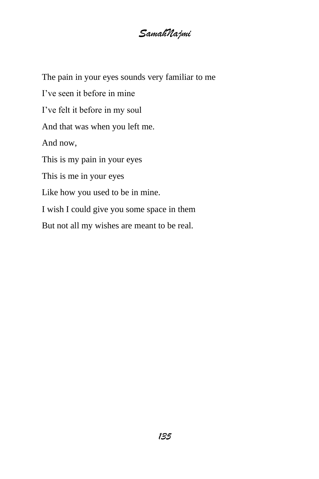The pain in your eyes sounds very familiar to me I've seen it before in mine I've felt it before in my soul And that was when you left me. And now, This is my pain in your eyes This is me in your eyes Like how you used to be in mine. I wish I could give you some space in them But not all my wishes are meant to be real.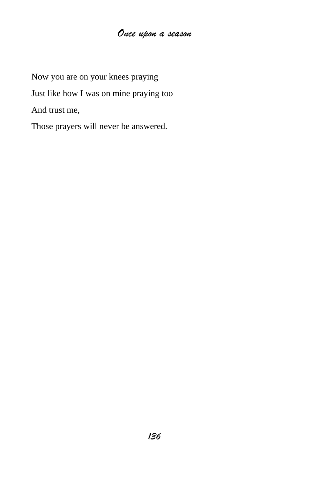Now you are on your knees praying Just like how I was on mine praying too And trust me,

Those prayers will never be answered.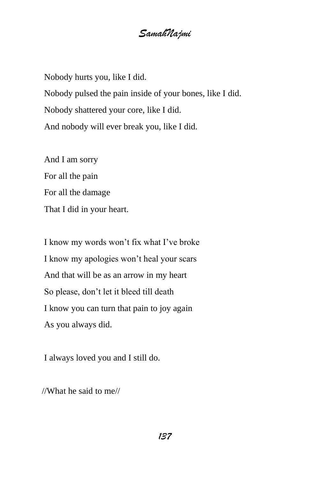Nobody hurts you, like I did. Nobody pulsed the pain inside of your bones, like I did. Nobody shattered your core, like I did. And nobody will ever break you, like I did.

And I am sorry For all the pain For all the damage That I did in your heart.

I know my words won't fix what I've broke I know my apologies won't heal your scars And that will be as an arrow in my heart So please, don't let it bleed till death I know you can turn that pain to joy again As you always did.

I always loved you and I still do.

//What he said to me//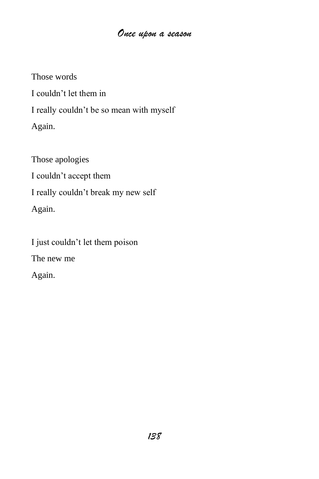Those words I couldn't let them in I really couldn't be so mean with myself Again.

Those apologies I couldn't accept them I really couldn't break my new self Again.

I just couldn't let them poison The new me Again.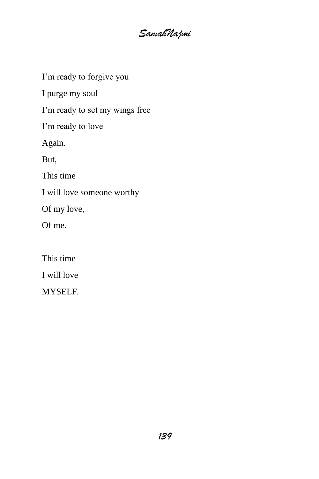I'm ready to forgive you I purge my soul I'm ready to set my wings free I'm ready to love Again. But, This time I will love someone worthy Of my love, Of me. This time

I will love

MYSELF.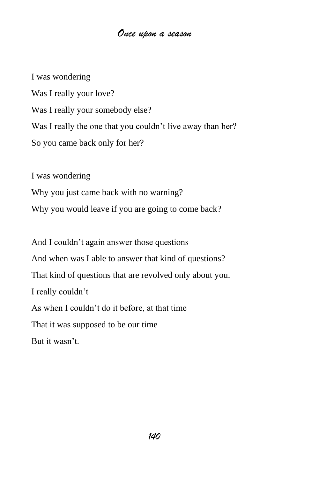I was wondering Was I really your love? Was I really your somebody else? Was I really the one that you couldn't live away than her? So you came back only for her?

I was wondering Why you just came back with no warning? Why you would leave if you are going to come back?

And I couldn't again answer those questions And when was I able to answer that kind of questions? That kind of questions that are revolved only about you. I really couldn't As when I couldn't do it before, at that time That it was supposed to be our time But it wasn't.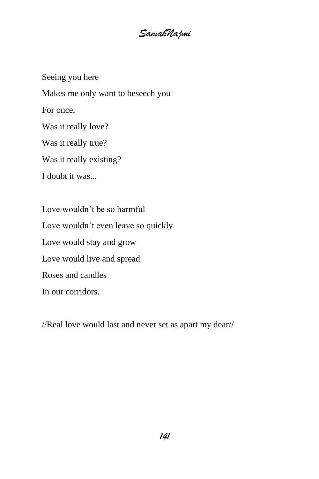*SamahNajmi*

Seeing you here Makes me only want to beseech you For once, Was it really love? Was it really true? Was it really existing? I doubt it was...

Love wouldn't be so harmful Love wouldn't even leave so quickly Love would stay and grow Love would live and spread Roses and candles In our corridors.

//Real love would last and never set as apart my dear//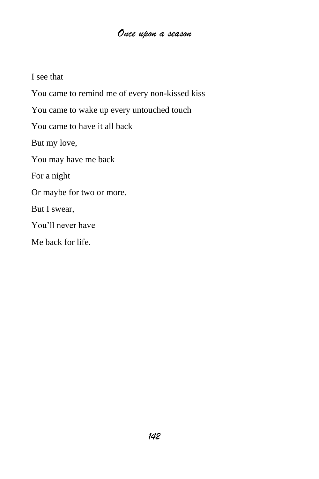I see that

You came to remind me of every non-kissed kiss You came to wake up every untouched touch You came to have it all back But my love, You may have me back For a night Or maybe for two or more. But I swear, You'll never have Me back for life.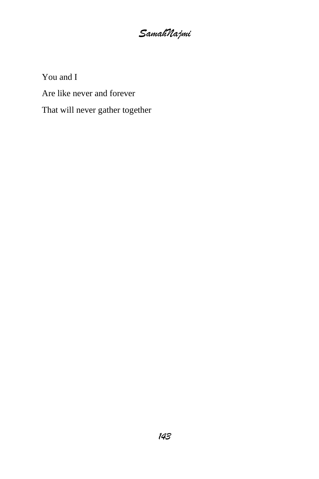You and I

Are like never and forever

That will never gather together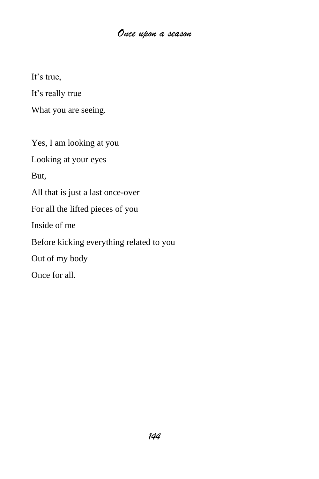It's true,

It's really true

What you are seeing.

Yes, I am looking at you

Looking at your eyes

But,

All that is just a last once-over

For all the lifted pieces of you

Inside of me

Before kicking everything related to you

Out of my body

Once for all.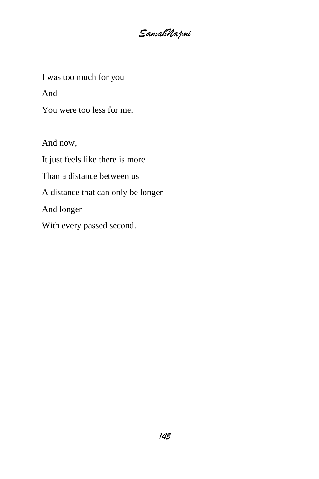I was too much for you And You were too less for me.

And now, It just feels like there is more Than a distance between us A distance that can only be longer And longer With every passed second.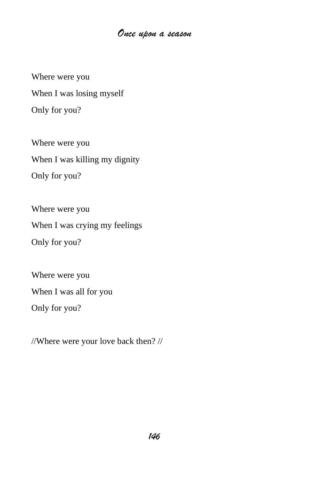Where were you When I was losing myself Only for you?

Where were you When I was killing my dignity Only for you?

Where were you When I was crying my feelings Only for you?

Where were you When I was all for you Only for you?

//Where were your love back then? //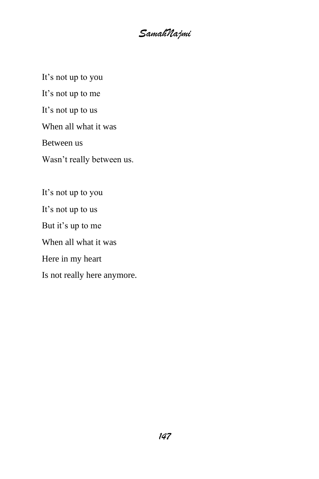*SamahNajmi*

It's not up to you

It's not up to me

It's not up to us

When all what it was

Between us

Wasn't really between us.

It's not up to you It's not up to us But it's up to me When all what it was Here in my heart Is not really here anymore.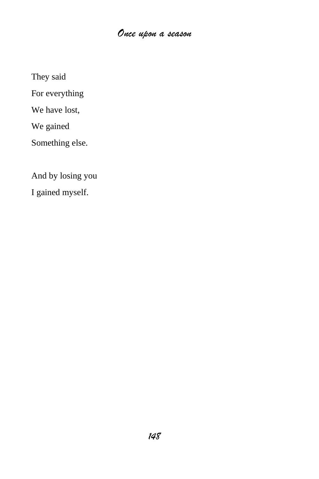They said

For everything

We have lost,

We gained

Something else.

And by losing you

I gained myself.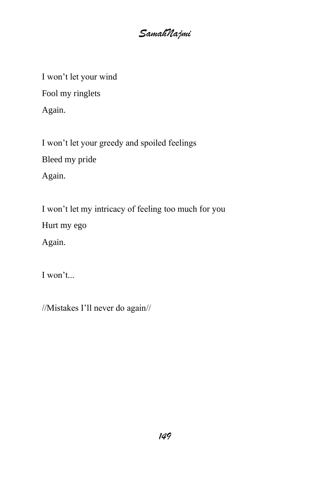I won't let your wind Fool my ringlets

Again.

I won't let your greedy and spoiled feelings Bleed my pride Again.

I won't let my intricacy of feeling too much for you

Hurt my ego

Again.

I won't...

//Mistakes I'll never do again//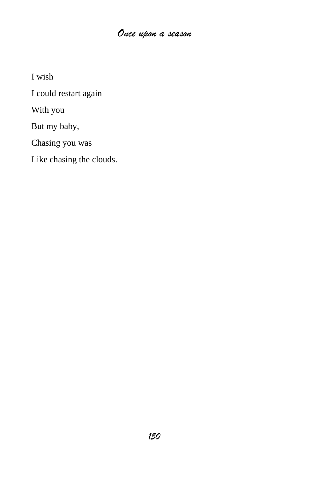I wish

I could restart again

With you

But my baby,

Chasing you was

Like chasing the clouds.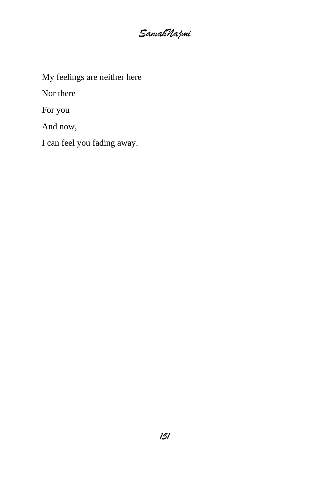*SamahNajmi*

My feelings are neither here

Nor there

For you

And now,

I can feel you fading away.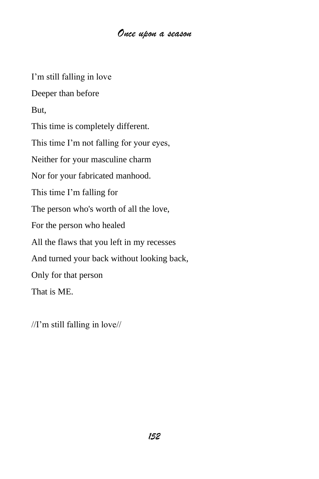I'm still falling in love Deeper than before But, This time is completely different. This time I'm not falling for your eyes, Neither for your masculine charm Nor for your fabricated manhood. This time I'm falling for The person who's worth of all the love, For the person who healed All the flaws that you left in my recesses And turned your back without looking back, Only for that person That is ME.

//I'm still falling in love//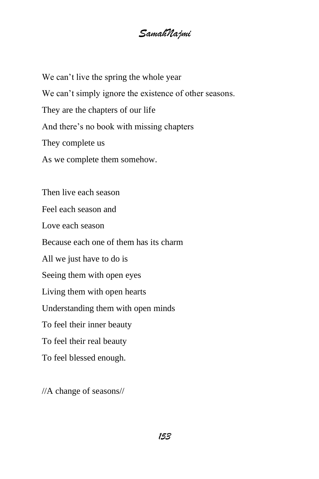We can't live the spring the whole year We can't simply ignore the existence of other seasons. They are the chapters of our life And there's no book with missing chapters They complete us As we complete them somehow.

Then live each season Feel each season and Love each season Because each one of them has its charm All we just have to do is Seeing them with open eyes Living them with open hearts Understanding them with open minds To feel their inner beauty To feel their real beauty To feel blessed enough.

//A change of seasons//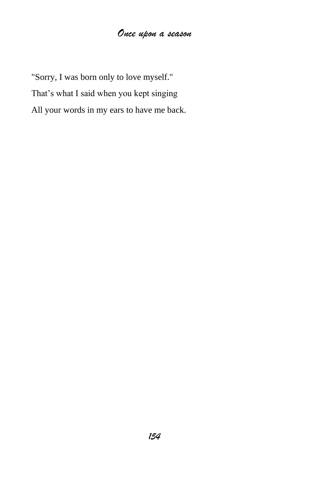"Sorry, I was born only to love myself." That's what I said when you kept singing All your words in my ears to have me back.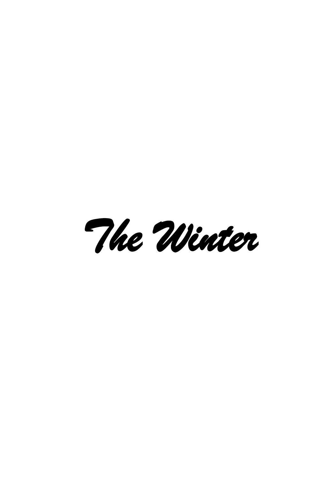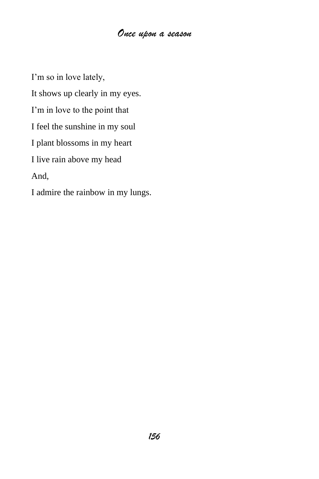I'm so in love lately, It shows up clearly in my eyes. I'm in love to the point that I feel the sunshine in my soul I plant blossoms in my heart I live rain above my head And, I admire the rainbow in my lungs.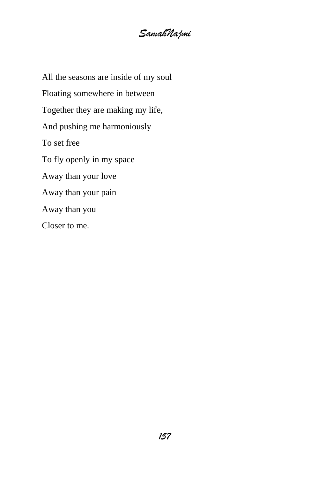All the seasons are inside of my soul Floating somewhere in between Together they are making my life, And pushing me harmoniously To set free To fly openly in my space Away than your love Away than your pain Away than you Closer to me.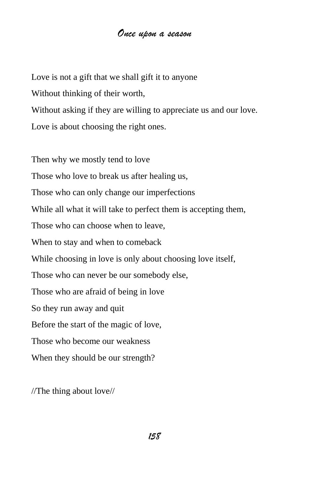Love is not a gift that we shall gift it to anyone Without thinking of their worth, Without asking if they are willing to appreciate us and our love. Love is about choosing the right ones.

Then why we mostly tend to love Those who love to break us after healing us, Those who can only change our imperfections While all what it will take to perfect them is accepting them, Those who can choose when to leave, When to stay and when to comeback While choosing in love is only about choosing love itself, Those who can never be our somebody else, Those who are afraid of being in love So they run away and quit Before the start of the magic of love, Those who become our weakness When they should be our strength?

//The thing about love//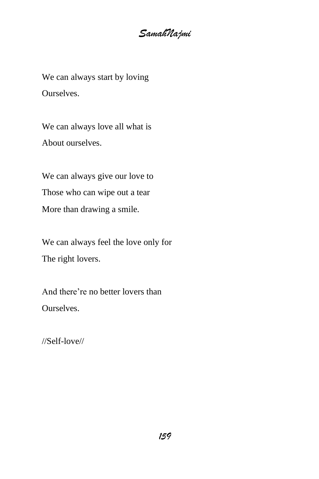We can always start by loving Ourselves.

We can always love all what is About ourselves.

We can always give our love to Those who can wipe out a tear More than drawing a smile.

We can always feel the love only for The right lovers.

And there're no better lovers than Ourselves.

//Self-love//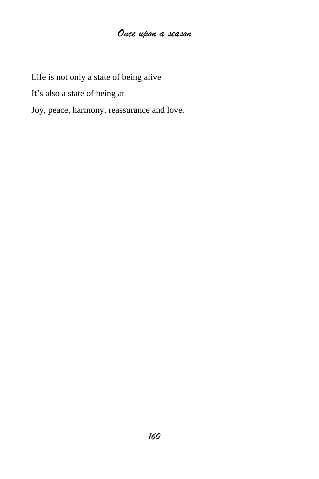Life is not only a state of being alive

It's also a state of being at

Joy, peace, harmony, reassurance and love.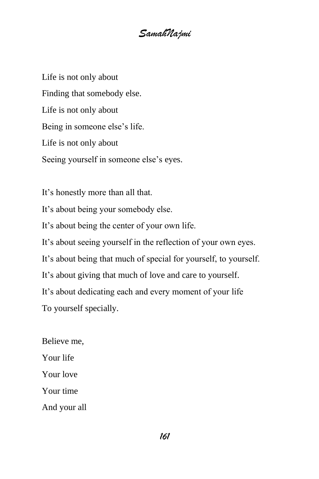*SamahNajmi*

Life is not only about Finding that somebody else. Life is not only about Being in someone else's life. Life is not only about Seeing yourself in someone else's eyes.

It's honestly more than all that. It's about being your somebody else. It's about being the center of your own life. It's about seeing yourself in the reflection of your own eyes. It's about being that much of special for yourself, to yourself. It's about giving that much of love and care to yourself. It's about dedicating each and every moment of your life To yourself specially.

Believe me, Your life Your love Your time And your all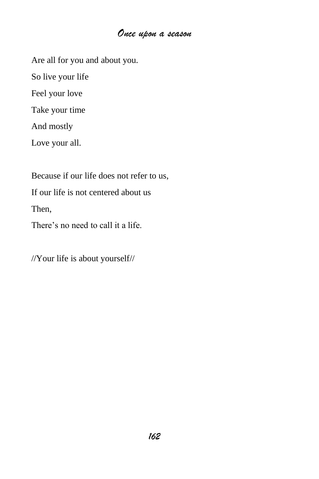Are all for you and about you.

So live your life

Feel your love

Take your time

And mostly

Love your all.

Because if our life does not refer to us,

If our life is not centered about us

Then,

There's no need to call it a life.

//Your life is about yourself//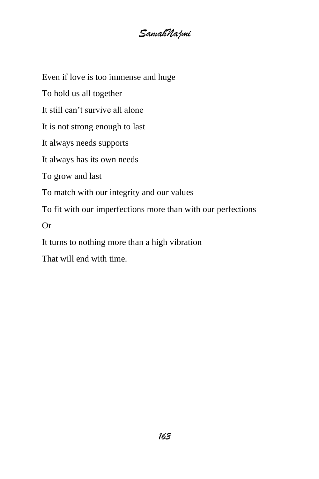Even if love is too immense and huge To hold us all together It still can't survive all alone It is not strong enough to last It always needs supports It always has its own needs To grow and last To match with our integrity and our values To fit with our imperfections more than with our perfections Or It turns to nothing more than a high vibration

That will end with time.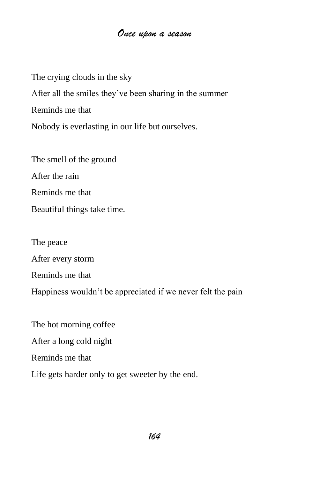The crying clouds in the sky After all the smiles they've been sharing in the summer Reminds me that Nobody is everlasting in our life but ourselves.

The smell of the ground After the rain Reminds me that Beautiful things take time.

The peace

After every storm

Reminds me that

Happiness wouldn't be appreciated if we never felt the pain

The hot morning coffee After a long cold night Reminds me that Life gets harder only to get sweeter by the end.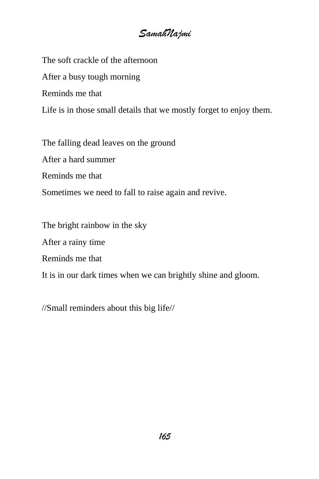The soft crackle of the afternoon After a busy tough morning Reminds me that Life is in those small details that we mostly forget to enjoy them.

The falling dead leaves on the ground After a hard summer Reminds me that Sometimes we need to fall to raise again and revive.

The bright rainbow in the sky After a rainy time Reminds me that

It is in our dark times when we can brightly shine and gloom.

//Small reminders about this big life//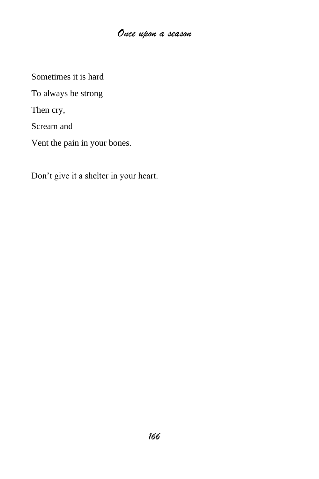Sometimes it is hard

To always be strong

Then cry,

Scream and

Vent the pain in your bones.

Don't give it a shelter in your heart.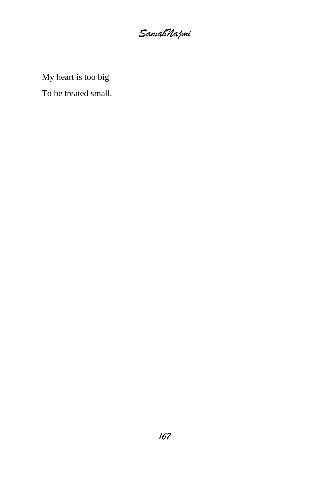*SamahNajmi*

My heart is too big

To be treated small.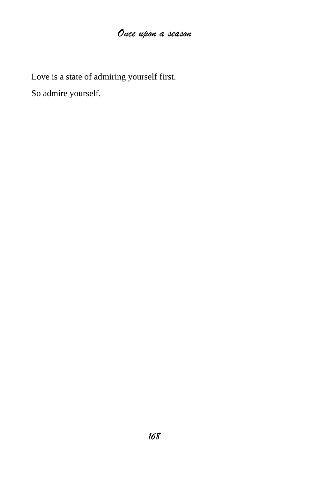Love is a state of admiring yourself first.

So admire yourself.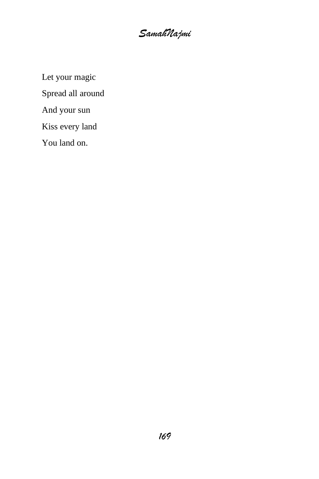Let your magic Spread all around And your sun Kiss every land You land on.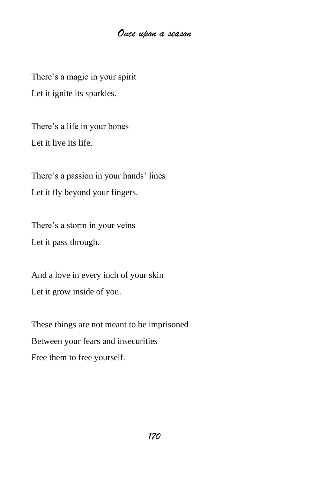There's a magic in your spirit Let it ignite its sparkles.

There's a life in your bones Let it live its life.

There's a passion in your hands' lines Let it fly beyond your fingers.

There's a storm in your veins Let it pass through.

And a love in every inch of your skin Let it grow inside of you.

These things are not meant to be imprisoned Between your fears and insecurities Free them to free yourself.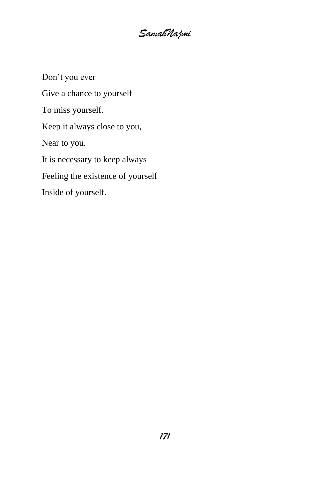Don't you ever Give a chance to yourself To miss yourself. Keep it always close to you, Near to you. It is necessary to keep always Feeling the existence of yourself Inside of yourself.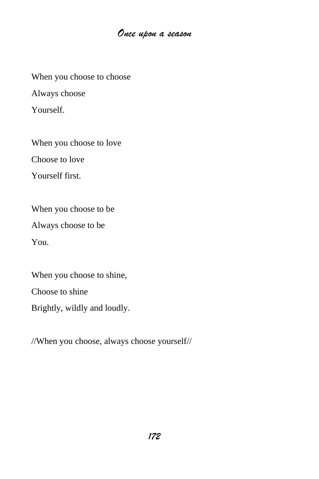When you choose to choose Always choose Yourself.

When you choose to love Choose to love

Yourself first.

When you choose to be

Always choose to be

You.

When you choose to shine,

Choose to shine

Brightly, wildly and loudly.

//When you choose, always choose yourself//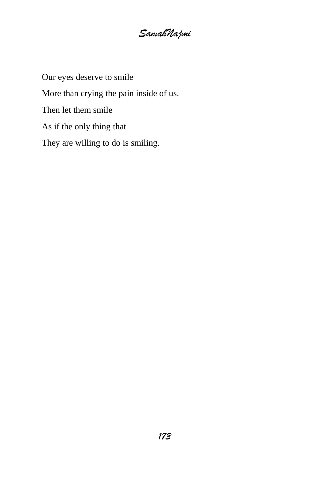Our eyes deserve to smile More than crying the pain inside of us. Then let them smile As if the only thing that They are willing to do is smiling.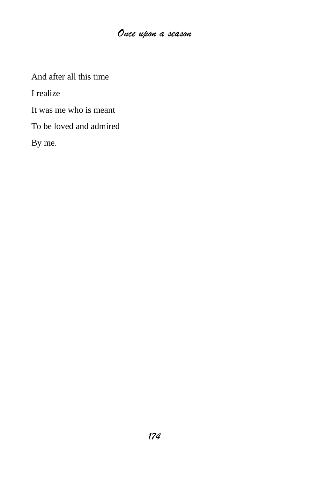And after all this time

I realize

It was me who is meant

To be loved and admired

By me.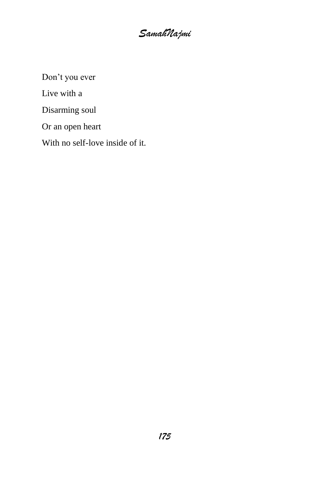*SamahNajmi*

Don't you ever

Live with a

Disarming soul

Or an open heart

With no self-love inside of it.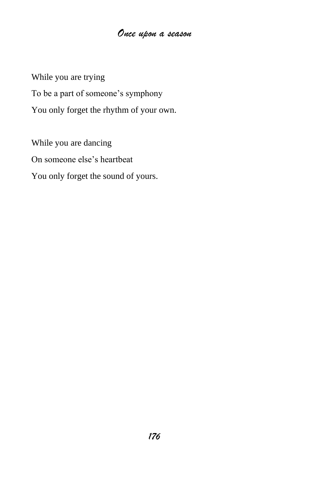While you are trying To be a part of someone's symphony You only forget the rhythm of your own.

While you are dancing On someone else's heartbeat You only forget the sound of yours.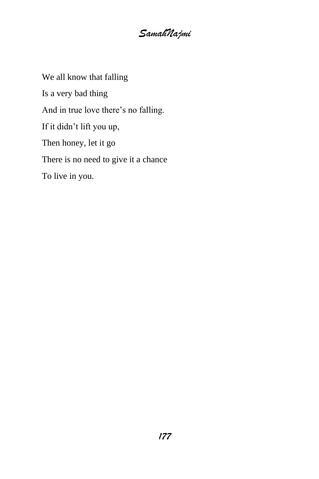We all know that falling Is a very bad thing And in true love there's no falling. If it didn't lift you up, Then honey, let it go There is no need to give it a chance To live in you.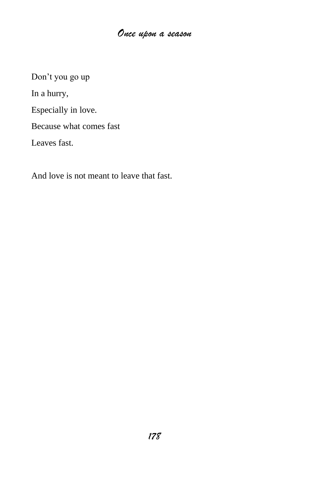Don't you go up

In a hurry,

Especially in love.

Because what comes fast

Leaves fast.

And love is not meant to leave that fast.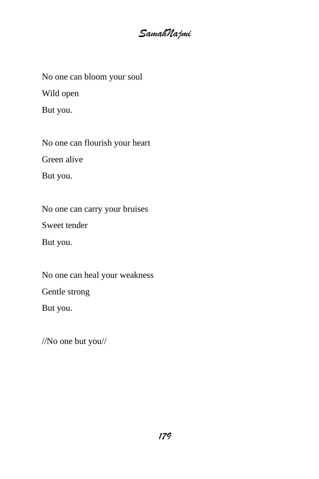*SamahNajmi*

No one can bloom your soul

Wild open

But you.

No one can flourish your heart

Green alive

But you.

No one can carry your bruises

Sweet tender

But you.

No one can heal your weakness

Gentle strong

But you.

//No one but you//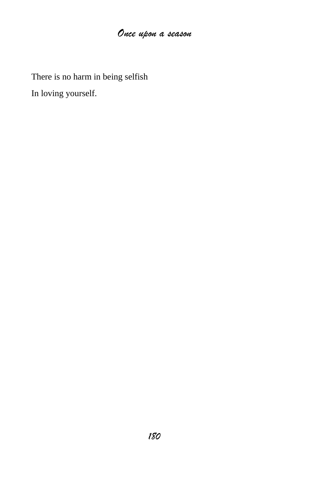There is no harm in being selfish

In loving yourself.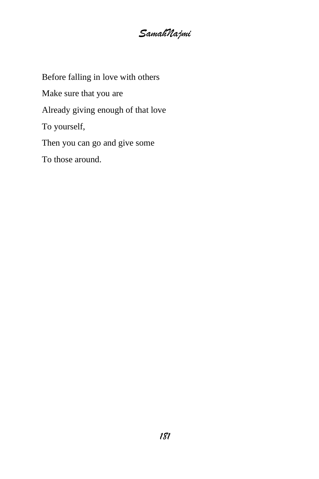Before falling in love with others Make sure that you are Already giving enough of that love To yourself, Then you can go and give some To those around.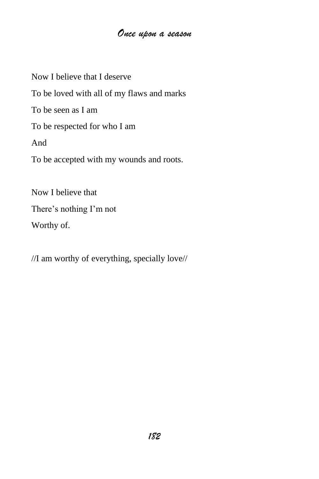Now I believe that I deserve To be loved with all of my flaws and marks To be seen as I am To be respected for who I am And To be accepted with my wounds and roots. Now I believe that

There's nothing I'm not Worthy of.

//I am worthy of everything, specially love//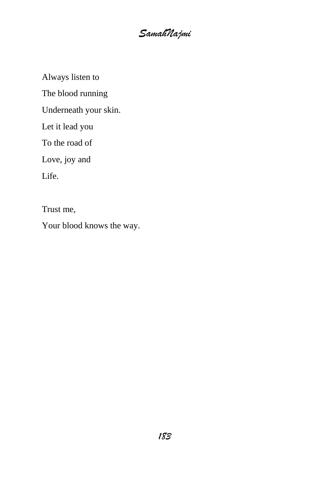*SamahNajmi*

Always listen to

The blood running

Underneath your skin.

Let it lead you

To the road of

Love, joy and

Life.

Trust me,

Your blood knows the way.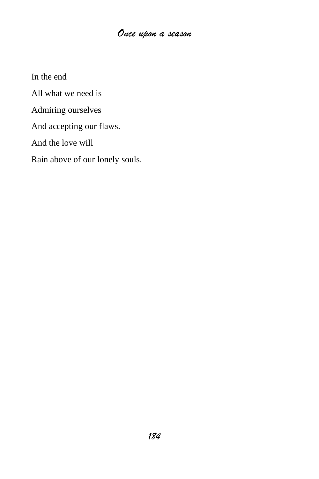In the end

All what we need is

Admiring ourselves

And accepting our flaws.

And the love will

Rain above of our lonely souls.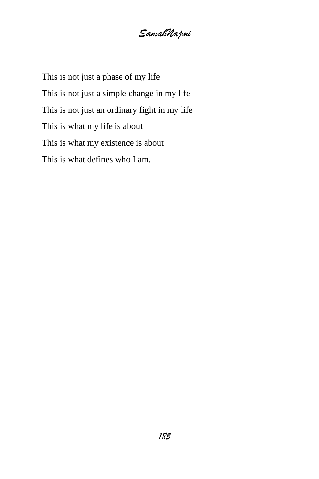This is not just a phase of my life This is not just a simple change in my life This is not just an ordinary fight in my life This is what my life is about This is what my existence is about This is what defines who I am.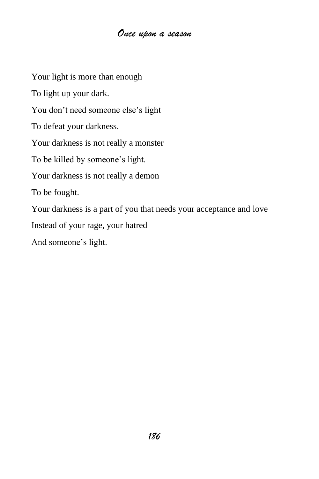Your light is more than enough To light up your dark. You don't need someone else's light To defeat your darkness. Your darkness is not really a monster To be killed by someone's light. Your darkness is not really a demon To be fought. Your darkness is a part of you that needs your acceptance and love Instead of your rage, your hatred And someone's light.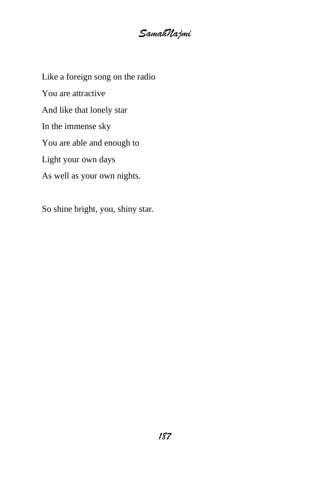Like a foreign song on the radio You are attractive And like that lonely star In the immense sky You are able and enough to Light your own days As well as your own nights.

So shine bright, you, shiny star.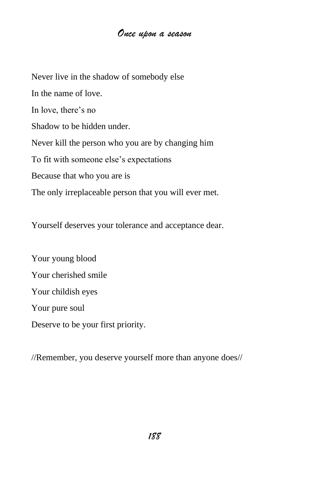Never live in the shadow of somebody else In the name of love. In love, there's no Shadow to be hidden under. Never kill the person who you are by changing him To fit with someone else's expectations Because that who you are is The only irreplaceable person that you will ever met.

Yourself deserves your tolerance and acceptance dear.

Your young blood Your cherished smile Your childish eyes Your pure soul Deserve to be your first priority.

//Remember, you deserve yourself more than anyone does//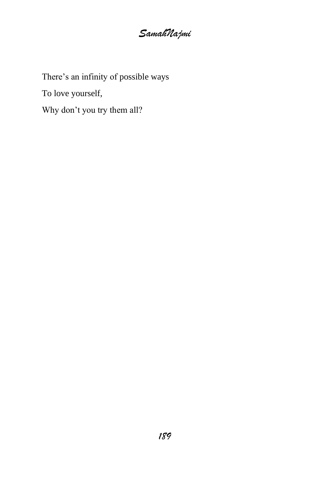*SamahNajmi*

There's an infinity of possible ways

To love yourself,

Why don't you try them all?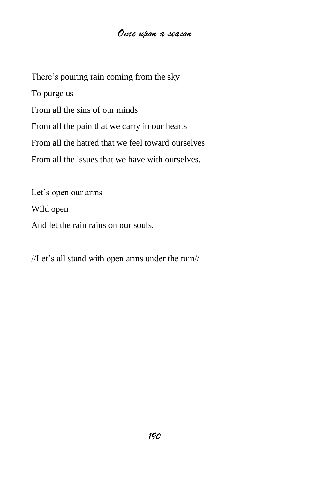There's pouring rain coming from the sky To purge us From all the sins of our minds From all the pain that we carry in our hearts From all the hatred that we feel toward ourselves From all the issues that we have with ourselves.

Let's open our arms Wild open And let the rain rains on our souls.

//Let's all stand with open arms under the rain//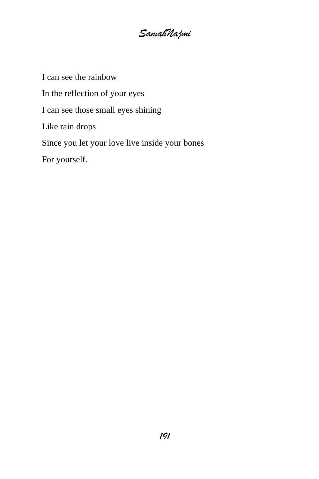*SamahNajmi*

I can see the rainbow In the reflection of your eyes I can see those small eyes shining Like rain drops Since you let your love live inside your bones For yourself.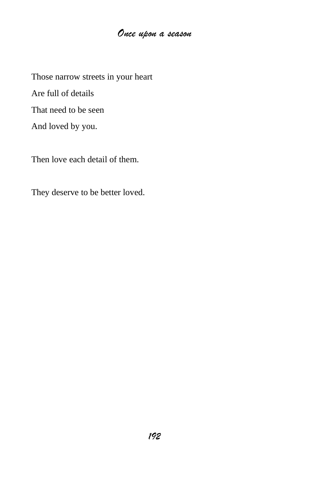Those narrow streets in your heart Are full of details That need to be seen And loved by you.

Then love each detail of them.

They deserve to be better loved.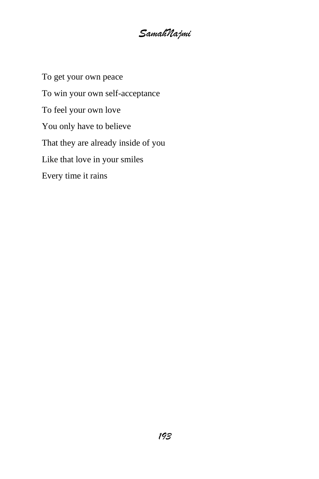To get your own peace To win your own self-acceptance To feel your own love You only have to believe That they are already inside of you Like that love in your smiles Every time it rains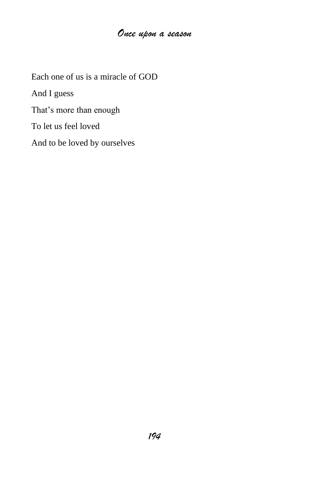Each one of us is a miracle of GOD And I guess That's more than enough To let us feel loved And to be loved by ourselves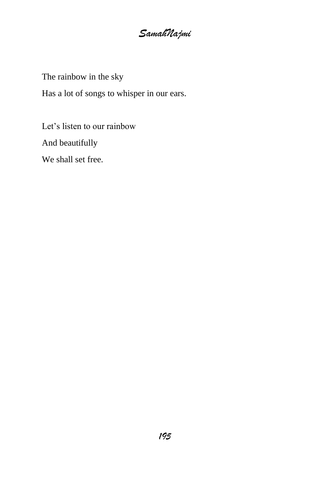*SamahNajmi*

The rainbow in the sky

Has a lot of songs to whisper in our ears.

Let's listen to our rainbow

And beautifully

We shall set free.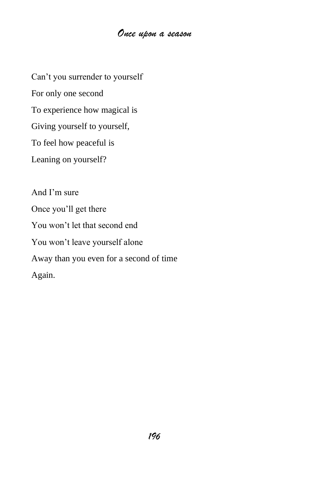Can't you surrender to yourself For only one second To experience how magical is Giving yourself to yourself, To feel how peaceful is Leaning on yourself?

And I'm sure Once you'll get there You won't let that second end You won't leave yourself alone Away than you even for a second of time Again.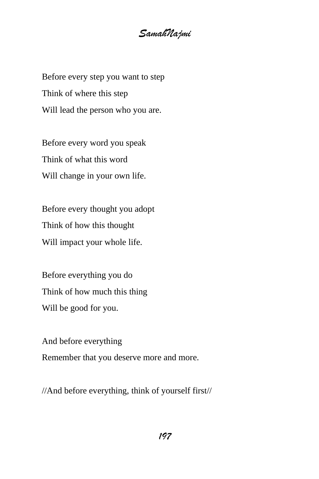Before every step you want to step Think of where this step Will lead the person who you are.

Before every word you speak Think of what this word Will change in your own life.

Before every thought you adopt Think of how this thought Will impact your whole life.

Before everything you do Think of how much this thing Will be good for you.

And before everything Remember that you deserve more and more.

//And before everything, think of yourself first//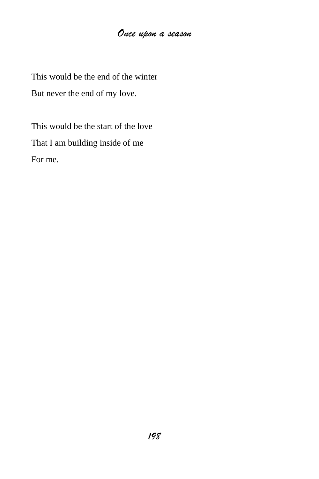This would be the end of the winter But never the end of my love.

This would be the start of the love That I am building inside of me For me.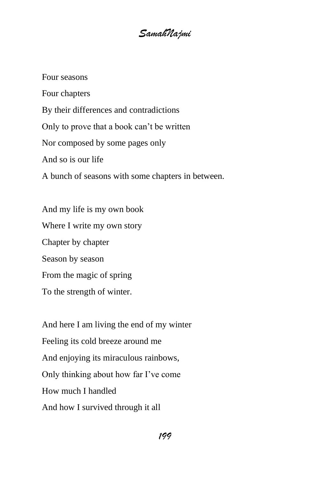*SamahNajmi*

Four seasons Four chapters By their differences and contradictions Only to prove that a book can't be written Nor composed by some pages only And so is our life A bunch of seasons with some chapters in between.

And my life is my own book Where I write my own story Chapter by chapter Season by season From the magic of spring To the strength of winter.

And here I am living the end of my winter Feeling its cold breeze around me And enjoying its miraculous rainbows, Only thinking about how far I've come How much I handled And how I survived through it all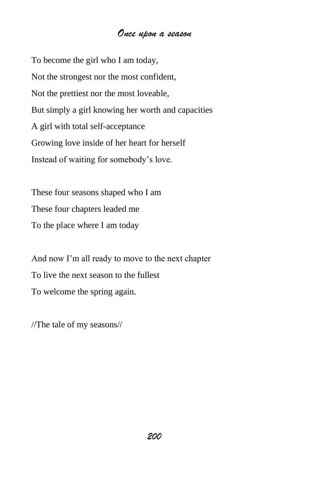To become the girl who I am today, Not the strongest nor the most confident, Not the prettiest nor the most loveable, But simply a girl knowing her worth and capacities A girl with total self-acceptance Growing love inside of her heart for herself Instead of waiting for somebody's love.

These four seasons shaped who I am These four chapters leaded me To the place where I am today

And now I'm all ready to move to the next chapter To live the next season to the fullest To welcome the spring again.

//The tale of my seasons//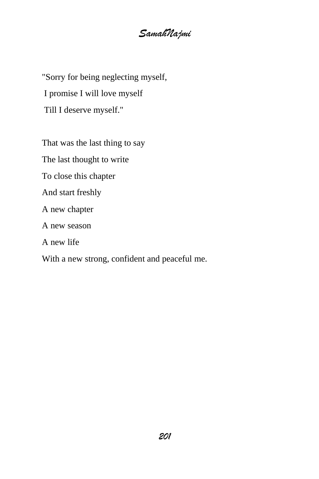"Sorry for being neglecting myself, I promise I will love myself Till I deserve myself."

That was the last thing to say The last thought to write To close this chapter And start freshly A new chapter A new season A new life With a new strong, confident and peaceful me.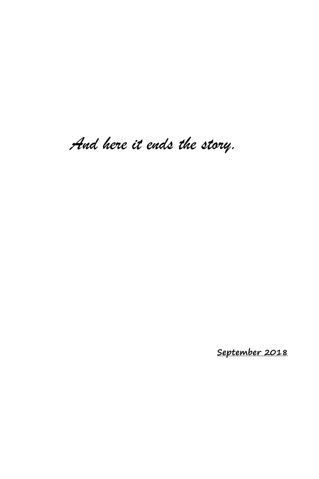*And here it ends the story.*

**September 2018**